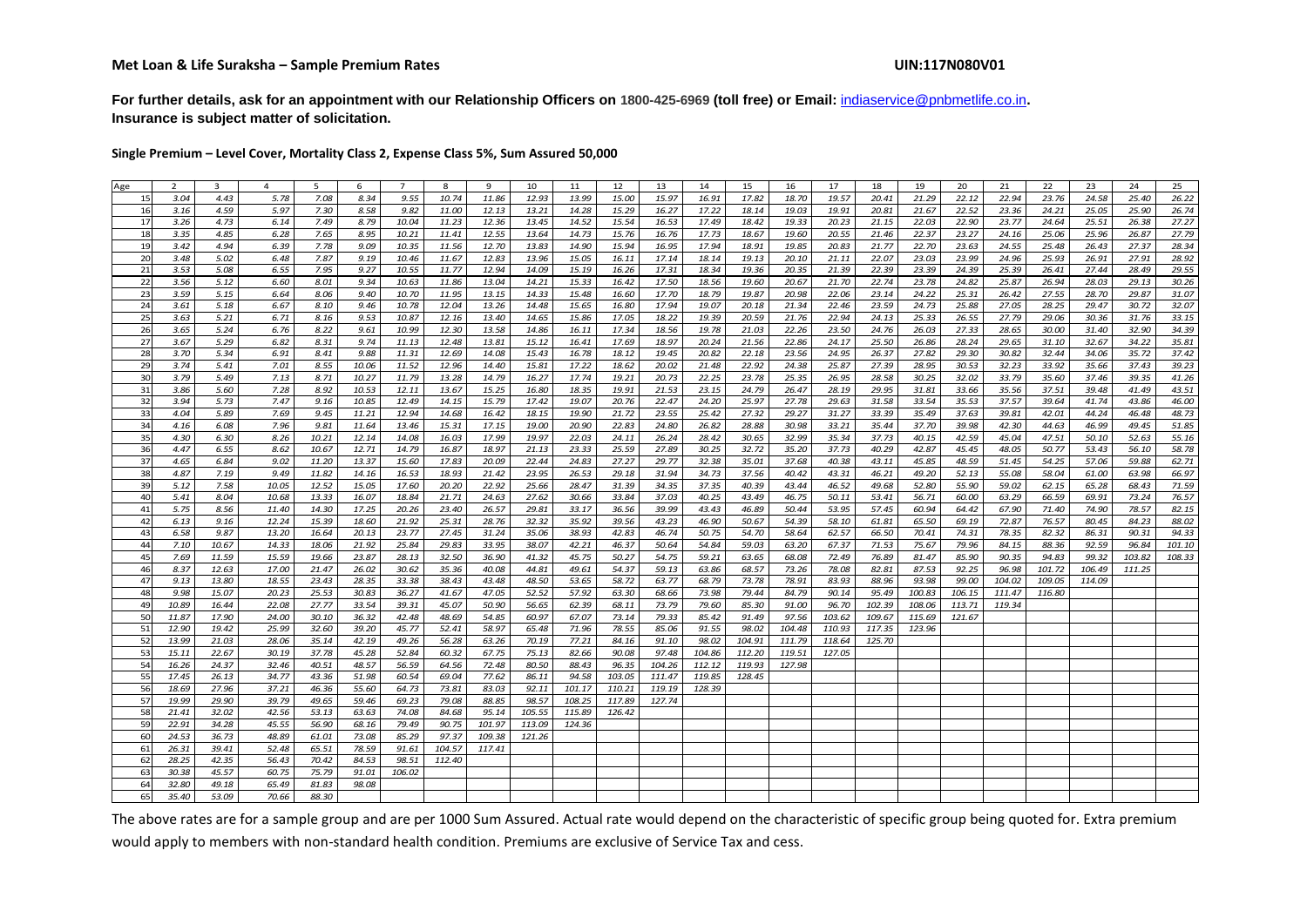**For further details, ask for an appointment with our Relationship Officers on 1800-425-6969 (toll free) or Email:** indiaservice@pnbmetlife.co.in**. Insurance is subject matter of solicitation.**

**Single Premium – Level Cover, Mortality Class 2, Expense Class 5%, Sum Assured 50,000**

| 7.08<br>9.55<br>10.74<br>11.86<br>12.93<br>13.99<br>15.00<br>15.97<br>16.91<br>17.82<br>18.70<br>19.57<br>20.41<br>21.29<br>22.12<br>22.94<br>23.76<br>24.58<br>25.40<br>26.22<br>15<br>3.04<br>4.43<br>5.78<br>8.34<br>17.22<br>26.74<br>16<br>3.16<br>4.59<br>5.97<br>7.30<br>8.58<br>9.82<br>11.00<br>12.13<br>13.21<br>14.28<br>15.29<br>16.27<br>18.14<br>19.03<br>19.91<br>20.81<br>21.67<br>22.52<br>23.36<br>24.21<br>25.05<br>25.90<br>27.27<br>17<br>4.73<br>7.49<br>10.04<br>12.36<br>13.45<br>14.52<br>15.54<br>16.53<br>17.49<br>18.42<br>19.33<br>20.23<br>21.15<br>22.03<br>22.90<br>23.77<br>24.64<br>25.51<br>26.38<br>3.26<br>6.14<br>8.79<br>11.23<br>27.79<br>18<br>3.35<br>4.85<br>10.21<br>12.55<br>17.73<br>18.67<br>19.60<br>20.55<br>21.46<br>22.37<br>23.27<br>24.16<br>25.06<br>25.96<br>26.87<br>6.28<br>7.65<br>8.95<br>11.41<br>13.64<br>14.73<br>15.76<br>16.76<br>28.34<br>19<br>3.42<br>4.94<br>7.78<br>12.70<br>14.90<br>15.94<br>16.95<br>17.94<br>18.91<br>19.85<br>20.83<br>21.77<br>22.70<br>23.63<br>24.55<br>25.48<br>26.43<br>27.37<br>6.39<br>9.09<br>10.35<br>11.56<br>13.83<br>20<br>3.48<br>7.87<br>10.46<br>12.83<br>13.96<br>15.05<br>17.14<br>18.14<br>19.13<br>20.10<br>21.11<br>22.07<br>23.03<br>23.99<br>24.96<br>25.93<br>26.91<br>27.91<br>28.92<br>5.02<br>6.48<br>9.19<br>11.67<br>16.11<br>21<br>3.53<br>7.95<br>17.31<br>19.36<br>20.35<br>21.39<br>22.39<br>23.39<br>24.39<br>26.41<br>29.55<br>5.08<br>6.55<br>9.27<br>10.55<br>11.77<br>12.94<br>14.09<br>15.19<br>16.26<br>18.34<br>25.39<br>27.44<br>28.49<br>22<br>5.12<br>15.33<br>17.50<br>21.70<br>22.74<br>23.78<br>25.87<br>26.94<br>28.03<br>29.13<br>30.26<br>3.56<br>6.60<br>8.01<br>9.34<br>10.63<br>11.86<br>13.04<br>14.21<br>16.42<br>18.56<br>19.60<br>20.67<br>24.82<br>31.07<br>23<br>3.59<br>13.15<br>15.48<br>17.70<br>18.79<br>19.87<br>20.98<br>22.06<br>23.14<br>24.22<br>25.31<br>26.42<br>27.55<br>29.87<br>5.15<br>6.64<br>8.06<br>9,40<br>10.70<br>11.95<br>14.33<br>16.60<br>28.70<br>32.07<br>24<br>3.61<br>5.18<br>8.10<br>10.78<br>12.04<br>13.26<br>14.48<br>15.65<br>16.80<br>17.94<br>19.07<br>20.18<br>21.34<br>22.46<br>23.59<br>24.73<br>25.88<br>27.05<br>28.25<br>29.47<br>30.72<br>6.67<br>9.46<br>33.15<br>25<br>21.76<br>22.94<br>3.63<br>5.21<br>6.71<br>8.16<br>10.87<br>12.16<br>13.40<br>14.65<br>15.86<br>17.05<br>18.22<br>19.39<br>20.59<br>24.13<br>25.33<br>26.55<br>27.79<br>29.06<br>30.36<br>31.76<br>9.53<br>26<br>30.00<br>34.39<br>3.65<br>8.22<br>10.99<br>13.58<br>14.86<br>16.11<br>17.34<br>18.56<br>19.78<br>21.03<br>22.26<br>23.50<br>24.76<br>26.03<br>27.33<br>28.65<br>31.40<br>32.90<br>5.24<br>6.76<br>9.61<br>12.30<br>24.17<br>35.81<br>27<br>3.67<br>5.29<br>6.82<br>8.31<br>11.13<br>12.48<br>13.81<br>15.12<br>16.41<br>17.69<br>18.97<br>20.24<br>21.56<br>22.86<br>25.50<br>26.86<br>28.24<br>29.65<br>31.10<br>32.67<br>34.22<br>9.74<br>28<br>22.18<br>23.56<br>24.95<br>27.82<br>32.44<br>37.42<br>3.70<br>5.34<br>6.91<br>8.41<br>9.88<br>11.31<br>12.69<br>14.08<br>15.43<br>16.78<br>18.12<br>19.45<br>20.82<br>26.37<br>29.30<br>30.82<br>34.06<br>35.72<br>39.23<br>29<br>3.74<br>8.55<br>17.22<br>22.92<br>24.38<br>25.87<br>27.39<br>28.95<br>30.53<br>32.23<br>33.92<br>35.66<br>37.43<br>5.41<br>7.01<br>10.06<br>11.52<br>12.96<br>14.40<br>15.81<br>18.62<br>20.02<br>21.48<br>30<br>3.79<br>7.13<br>17.74<br>20.73<br>22.25<br>23.78<br>25.35<br>26.95<br>28.58<br>30.25<br>32.02<br>33.79<br>35.60<br>39.35<br>41.26<br>5.49<br>8.71<br>10.27<br>11.79<br>13.28<br>14.79<br>16.27<br>19.21<br>37.46<br>31<br>7.28<br>37.51<br>43.51<br>3.86<br>5.60<br>8.92<br>12.11<br>13.67<br>15.25<br>16.80<br>18.35<br>19.91<br>21.53<br>23.15<br>24.79<br>26.47<br>28.19<br>29.95<br>31.81<br>33.66<br>35.56<br>39.48<br>41.49<br>10.53<br>32<br>3.94<br>5.73<br>7.47<br>12.49<br>17.42<br>19.07<br>20.76<br>22.47<br>24.20<br>25.97<br>27.78<br>29.63<br>31.58<br>33.54<br>35.53<br>39.64<br>43.86<br>46.00<br>9.16<br>10.85<br>14.15<br>15.79<br>37.57<br>41.74<br>48.73<br>33<br>7.69<br>9.45<br>12.94<br>19.90<br>23.55<br>25.42<br>27.32<br>29.27<br>31.27<br>33.39<br>35.49<br>39.81<br>42.01<br>44.24<br>46.48<br>4.04<br>5.89<br>11.21<br>14.68<br>16.42<br>18.15<br>21.72<br>37.63<br>34<br>13.46<br>17.15<br>20.90<br>24.80<br>26.82<br>28.88<br>30.98<br>33.21<br>35.44<br>37.70<br>39.98<br>42.30<br>51.85<br>4.16<br>6.08<br>7.96<br>9.81<br>11.64<br>15.31<br>19.00<br>22.83<br>44.63<br>46.99<br>49.45<br>35<br>4.30<br>10.21<br>17.99<br>26.24<br>28.42<br>30.65<br>32.99<br>35.34<br>37.73<br>40.15<br>42.59<br>45.04<br>47.51<br>50.10<br>52.63<br>55.16<br>6.30<br>8.26<br>12.14<br>14.08<br>16.03<br>19.97<br>22.03<br>24.11<br>36<br>4.47<br>6.55<br>8.62<br>10.67<br>12.71<br>14.79<br>16.87<br>18.97<br>21.13<br>23.33<br>25.59<br>27.89<br>30.25<br>32.72<br>35.20<br>37.73<br>40.29<br>42.87<br>45.45<br>48.05<br>50.77<br>53.43<br>56.10<br>58.78<br>37<br>4.65<br>37.68<br>40.38<br>43.11<br>45.85<br>48.59<br>62.71<br>6.84<br>9.02<br>11.20<br>13.37<br>15.60<br>17.83<br>20.09<br>22.44<br>24.83<br>27.27<br>29.77<br>32.38<br>35.01<br>51.45<br>54.25<br>57.06<br>59.88<br>38<br>26.53<br>66.97<br>4.87<br>7.19<br>11.82<br>14.16<br>16.53<br>18.93<br>21.42<br>23.95<br>29.18<br>31.94<br>34.73<br>37.56<br>40.42<br>43.31<br>46.21<br>49.20<br>52.13<br>55.08<br>58.04<br>61.00<br>63.98<br>9.49<br>39<br>71.59<br>5.12<br>7.58<br>10.05<br>12.52<br>15.05<br>17.60<br>22.92<br>25.66<br>28.47<br>31.39<br>34.35<br>37.35<br>40.39<br>43.44<br>46.52<br>49.68<br>52.80<br>55.90<br>59.02<br>62.15<br>20.20<br>65.28<br>68.43<br>76.57<br>46.75<br>53.41<br>66.59<br>40<br>5.41<br>8.04<br>10.68<br>13.33<br>16.07<br>18.84<br>21.71<br>24.63<br>27.62<br>30.66<br>33.84<br>37.03<br>40.25<br>43.49<br>50.11<br>56.71<br>60.00<br>63.29<br>69.91<br>73.24<br>82.15<br>8.56<br>33.17<br>39.99<br>43.43<br>46.89<br>50.44<br>53.95<br>57.45<br>60.94<br>78.57<br>41<br>5.75<br>11.40<br>14.30<br>17.25<br>20.26<br>23.40<br>26.57<br>29.81<br>36.56<br>64.42<br>67.90<br>71.40<br>74.90<br>42<br>46.90<br>50.67<br>54.39<br>58.10<br>65.50<br>76.57<br>88.02<br>6.13<br>9.16<br>12.24<br>15.39<br>18.60<br>21.92<br>25.31<br>28.76<br>32.32<br>35.92<br>39.56<br>43.23<br>61.81<br>69.19<br>72.87<br>80.45<br>84.23<br>54.70<br>62.57<br>43<br>6.58<br>9.87<br>13.20<br>16.64<br>20.13<br>23.77<br>27.45<br>31.24<br>35.06<br>38.93<br>42.83<br>46.74<br>50.75<br>58.64<br>66.50<br>70.41<br>74.31<br>82.32<br>86.31<br>90.31<br>94.33<br>78.35<br>44<br>7.10<br>10.67<br>14.33<br>25.84<br>29.83<br>33.95<br>38.07<br>42.21<br>46.37<br>50.64<br>54.84<br>59.03<br>63.20<br>67.37<br>71.53<br>75.67<br>79.96<br>84.15<br>88.36<br>92.59<br>96.84<br>101.10<br>18.06<br>21.92<br>45<br>7.69<br>15.59<br>19.66<br>23.87<br>28.13<br>32.50<br>45.75<br>54.75<br>59.21<br>63.65<br>68.08<br>72.49<br>76.89<br>81.47<br>85.90<br>90.35<br>94.83<br>99.32<br>103.82<br>108.33<br>11.59<br>36.90<br>41.32<br>50.27<br>46<br>8.37<br>17.00<br>21.47<br>30.62<br>44.81<br>49.61<br>54.37<br>59.13<br>63.86<br>68.57<br>73.26<br>78.08<br>82.81<br>87.53<br>92.25<br>101.72<br>12.63<br>26.02<br>35.36<br>40.08<br>96.98<br>106.49<br>111.25<br>47<br>9.13<br>13.80<br>18.55<br>23.43<br>28.35<br>33.38<br>38.43<br>53.65<br>58.72<br>63.77<br>73.78<br>78.91<br>83.93<br>93.98<br>99.00<br>104.02<br>109.05<br>43.48<br>48.50<br>68.79<br>88.96<br>114.09<br>48<br>90.14<br>9.98<br>15.07<br>20.23<br>25.53<br>30.83<br>36.27<br>41.67<br>47.05<br>52.52<br>57.92<br>63.30<br>68.66<br>73.98<br>79.44<br>84.79<br>95.49<br>100.83<br>106.15<br>111.47<br>116.80<br>85.30<br>91.00<br>96.70<br>49<br>10.89<br>16.44<br>22.08<br>27.77<br>33.54<br>39.31<br>45.07<br>50.90<br>56.65<br>62.39<br>68.11<br>73.79<br>79.60<br>102.39<br>108.06<br>113.71<br>119.34<br>50<br>11.87<br>17.90<br>30.10<br>36.32<br>42.48<br>48.69<br>79.33<br>85.42<br>91.49<br>97.56<br>103.62<br>109.67<br>115.69<br>24.00<br>54.85<br>60.97<br>67.07<br>73.14<br>121.67<br>51<br>12.90<br>19.42<br>25.99<br>32.60<br>39.20<br>45.77<br>58.97<br>71.96<br>78.55<br>85.06<br>91.55<br>98.02<br>104.48<br>110.93<br>117.35<br>52.41<br>65.48<br>123.96<br>77.21<br>52<br>13.99<br>21.03<br>28.06<br>35.14<br>42.19<br>49.26<br>56.28<br>63.26<br>70.19<br>84.16<br>91.10<br>98.02<br>104.91<br>111.79<br>118.64<br>125.70<br>53<br>15.11<br>37.78<br>67.75<br>82.66<br>97.48<br>104.86<br>112.20<br>119.51<br>127.05<br>22.67<br>30.19<br>45.28<br>52.84<br>60.32<br>75.13<br>90.08<br>54<br>16.26<br>24.37<br>32.46<br>40.51<br>56.59<br>64.56<br>80.50<br>88.43<br>96.35<br>104.26<br>112.12<br>48.57<br>72.48<br>119.93<br>127.98<br>55<br>17.45<br>26.13<br>34.77<br>43.36<br>51.98<br>60.54<br>69.04<br>77.62<br>86.11<br>94.58<br>103.05<br>111.47<br>119.85<br>128.45<br>56<br>18.69<br>27.96<br>37.21<br>46.36<br>55.60<br>64.73<br>73.81<br>83.03<br>92.11<br>101.17<br>110.21<br>119.19<br>128.39<br>57<br>29.90<br>98.57<br>108.25<br>117.89<br>19.99<br>39.79<br>49.65<br>59.46<br>69.23<br>79.08<br>88.85<br>127.74<br>58<br>21.41<br>32.02<br>42.56<br>95.14<br>115.89<br>53.13<br>63.63<br>74.08<br>84.68<br>105.55<br>126.42<br>59<br>22.91<br>101.97<br>34.28<br>45.55<br>56.90<br>68.16<br>79.49<br>90.75<br>113.09<br>124.36<br>60<br>24.53<br>36.73<br>48.89<br>61.01<br>73.08<br>85.29<br>97.37<br>109.38<br>121.26<br>65.51<br>61<br>26.31<br>39.41<br>52.48<br>78.59<br>91.61<br>104.57<br>117.41<br>62<br>28.25<br>42.35<br>56.43<br>84.53<br>98.51<br>112.40<br>70.42<br>63<br>30.38<br>45.57<br>60.75<br>75.79<br>106.02<br>91.01<br>64<br>32.80<br>49.18<br>65.49<br>81.83<br>98.08 | Age | $\overline{2}$ | $\mathbf{3}$ | $\overline{4}$ | 5     | 6 | $\overline{7}$ | 8 | 9 | 10 | 11 | 12 | 13 | 14 | 15 | 16 | 17 | 18 | 19 | 20 | 21 | 22 | 23 | 24 | 25 |
|-------------------------------------------------------------------------------------------------------------------------------------------------------------------------------------------------------------------------------------------------------------------------------------------------------------------------------------------------------------------------------------------------------------------------------------------------------------------------------------------------------------------------------------------------------------------------------------------------------------------------------------------------------------------------------------------------------------------------------------------------------------------------------------------------------------------------------------------------------------------------------------------------------------------------------------------------------------------------------------------------------------------------------------------------------------------------------------------------------------------------------------------------------------------------------------------------------------------------------------------------------------------------------------------------------------------------------------------------------------------------------------------------------------------------------------------------------------------------------------------------------------------------------------------------------------------------------------------------------------------------------------------------------------------------------------------------------------------------------------------------------------------------------------------------------------------------------------------------------------------------------------------------------------------------------------------------------------------------------------------------------------------------------------------------------------------------------------------------------------------------------------------------------------------------------------------------------------------------------------------------------------------------------------------------------------------------------------------------------------------------------------------------------------------------------------------------------------------------------------------------------------------------------------------------------------------------------------------------------------------------------------------------------------------------------------------------------------------------------------------------------------------------------------------------------------------------------------------------------------------------------------------------------------------------------------------------------------------------------------------------------------------------------------------------------------------------------------------------------------------------------------------------------------------------------------------------------------------------------------------------------------------------------------------------------------------------------------------------------------------------------------------------------------------------------------------------------------------------------------------------------------------------------------------------------------------------------------------------------------------------------------------------------------------------------------------------------------------------------------------------------------------------------------------------------------------------------------------------------------------------------------------------------------------------------------------------------------------------------------------------------------------------------------------------------------------------------------------------------------------------------------------------------------------------------------------------------------------------------------------------------------------------------------------------------------------------------------------------------------------------------------------------------------------------------------------------------------------------------------------------------------------------------------------------------------------------------------------------------------------------------------------------------------------------------------------------------------------------------------------------------------------------------------------------------------------------------------------------------------------------------------------------------------------------------------------------------------------------------------------------------------------------------------------------------------------------------------------------------------------------------------------------------------------------------------------------------------------------------------------------------------------------------------------------------------------------------------------------------------------------------------------------------------------------------------------------------------------------------------------------------------------------------------------------------------------------------------------------------------------------------------------------------------------------------------------------------------------------------------------------------------------------------------------------------------------------------------------------------------------------------------------------------------------------------------------------------------------------------------------------------------------------------------------------------------------------------------------------------------------------------------------------------------------------------------------------------------------------------------------------------------------------------------------------------------------------------------------------------------------------------------------------------------------------------------------------------------------------------------------------------------------------------------------------------------------------------------------------------------------------------------------------------------------------------------------------------------------------------------------------------------------------------------------------------------------------------------------------------------------------------------------------------------------------------------------------------------------------------------------------------------------------------------------------------------------------------------------------------------------------------------------------------------------------------------------------------------------------------------------------------------------------------------------------------------------------------------------------------------------------------------------------------------------------------------------------------------------------------------------------------------------------------------------------------------------------------------------------------------------------------------------------------------------------------------------------------------------------------------------------------------------------------------------------------------------------------------------------------------------------------------------------------------------------------------------------------------------------------------------------------------------------------------------------------------------------------------------------------------------------------------------------------------------------------------------------------------------------------------------------------------------------------------------------------------------------------------------------------------------------------------------------------------------------------------------------------------------------------------------------------------------------------------------------------------------------------------------------------------------------------------------------------------------------------------------------------------------------------------------------------------------------------------------------------------------------------------------------------------------------------------------------------------------------------------------------------------------------------------------------------------------------------------------------------------------------------------------------------------------------------------------------------------------------------------------------------------------------------------------------------------------------------------------------------------------------------------------------------------------------------------------------------------------------------------------------------------------------------------------------------------------------------------------------------------------------------------------------------------------------------------------------------------------------------------------------------------|-----|----------------|--------------|----------------|-------|---|----------------|---|---|----|----|----|----|----|----|----|----|----|----|----|----|----|----|----|----|
|                                                                                                                                                                                                                                                                                                                                                                                                                                                                                                                                                                                                                                                                                                                                                                                                                                                                                                                                                                                                                                                                                                                                                                                                                                                                                                                                                                                                                                                                                                                                                                                                                                                                                                                                                                                                                                                                                                                                                                                                                                                                                                                                                                                                                                                                                                                                                                                                                                                                                                                                                                                                                                                                                                                                                                                                                                                                                                                                                                                                                                                                                                                                                                                                                                                                                                                                                                                                                                                                                                                                                                                                                                                                                                                                                                                                                                                                                                                                                                                                                                                                                                                                                                                                                                                                                                                                                                                                                                                                                                                                                                                                                                                                                                                                                                                                                                                                                                                                                                                                                                                                                                                                                                                                                                                                                                                                                                                                                                                                                                                                                                                                                                                                                                                                                                                                                                                                                                                                                                                                                                                                                                                                                                                                                                                                                                                                                                                                                                                                                                                                                                                                                                                                                                                                                                                                                                                                                                                                                                                                                                                                                                                                                                                                                                                                                                                                                                                                                                                                                                                                                                                                                                                                                                                                                                                                                                                                                                                                                                                                                                                                                                                                                                                                                                                                                                                                                                                                                                                                                                                                                                                                                                                                                                                                                                                                                                                                                                                                                                                                                                                                                                                                                                                                                                                                                                                                                                                                                                                                                                                                                                                                                                                                                                             |     |                |              |                |       |   |                |   |   |    |    |    |    |    |    |    |    |    |    |    |    |    |    |    |    |
|                                                                                                                                                                                                                                                                                                                                                                                                                                                                                                                                                                                                                                                                                                                                                                                                                                                                                                                                                                                                                                                                                                                                                                                                                                                                                                                                                                                                                                                                                                                                                                                                                                                                                                                                                                                                                                                                                                                                                                                                                                                                                                                                                                                                                                                                                                                                                                                                                                                                                                                                                                                                                                                                                                                                                                                                                                                                                                                                                                                                                                                                                                                                                                                                                                                                                                                                                                                                                                                                                                                                                                                                                                                                                                                                                                                                                                                                                                                                                                                                                                                                                                                                                                                                                                                                                                                                                                                                                                                                                                                                                                                                                                                                                                                                                                                                                                                                                                                                                                                                                                                                                                                                                                                                                                                                                                                                                                                                                                                                                                                                                                                                                                                                                                                                                                                                                                                                                                                                                                                                                                                                                                                                                                                                                                                                                                                                                                                                                                                                                                                                                                                                                                                                                                                                                                                                                                                                                                                                                                                                                                                                                                                                                                                                                                                                                                                                                                                                                                                                                                                                                                                                                                                                                                                                                                                                                                                                                                                                                                                                                                                                                                                                                                                                                                                                                                                                                                                                                                                                                                                                                                                                                                                                                                                                                                                                                                                                                                                                                                                                                                                                                                                                                                                                                                                                                                                                                                                                                                                                                                                                                                                                                                                                                                             |     |                |              |                |       |   |                |   |   |    |    |    |    |    |    |    |    |    |    |    |    |    |    |    |    |
|                                                                                                                                                                                                                                                                                                                                                                                                                                                                                                                                                                                                                                                                                                                                                                                                                                                                                                                                                                                                                                                                                                                                                                                                                                                                                                                                                                                                                                                                                                                                                                                                                                                                                                                                                                                                                                                                                                                                                                                                                                                                                                                                                                                                                                                                                                                                                                                                                                                                                                                                                                                                                                                                                                                                                                                                                                                                                                                                                                                                                                                                                                                                                                                                                                                                                                                                                                                                                                                                                                                                                                                                                                                                                                                                                                                                                                                                                                                                                                                                                                                                                                                                                                                                                                                                                                                                                                                                                                                                                                                                                                                                                                                                                                                                                                                                                                                                                                                                                                                                                                                                                                                                                                                                                                                                                                                                                                                                                                                                                                                                                                                                                                                                                                                                                                                                                                                                                                                                                                                                                                                                                                                                                                                                                                                                                                                                                                                                                                                                                                                                                                                                                                                                                                                                                                                                                                                                                                                                                                                                                                                                                                                                                                                                                                                                                                                                                                                                                                                                                                                                                                                                                                                                                                                                                                                                                                                                                                                                                                                                                                                                                                                                                                                                                                                                                                                                                                                                                                                                                                                                                                                                                                                                                                                                                                                                                                                                                                                                                                                                                                                                                                                                                                                                                                                                                                                                                                                                                                                                                                                                                                                                                                                                                                             |     |                |              |                |       |   |                |   |   |    |    |    |    |    |    |    |    |    |    |    |    |    |    |    |    |
|                                                                                                                                                                                                                                                                                                                                                                                                                                                                                                                                                                                                                                                                                                                                                                                                                                                                                                                                                                                                                                                                                                                                                                                                                                                                                                                                                                                                                                                                                                                                                                                                                                                                                                                                                                                                                                                                                                                                                                                                                                                                                                                                                                                                                                                                                                                                                                                                                                                                                                                                                                                                                                                                                                                                                                                                                                                                                                                                                                                                                                                                                                                                                                                                                                                                                                                                                                                                                                                                                                                                                                                                                                                                                                                                                                                                                                                                                                                                                                                                                                                                                                                                                                                                                                                                                                                                                                                                                                                                                                                                                                                                                                                                                                                                                                                                                                                                                                                                                                                                                                                                                                                                                                                                                                                                                                                                                                                                                                                                                                                                                                                                                                                                                                                                                                                                                                                                                                                                                                                                                                                                                                                                                                                                                                                                                                                                                                                                                                                                                                                                                                                                                                                                                                                                                                                                                                                                                                                                                                                                                                                                                                                                                                                                                                                                                                                                                                                                                                                                                                                                                                                                                                                                                                                                                                                                                                                                                                                                                                                                                                                                                                                                                                                                                                                                                                                                                                                                                                                                                                                                                                                                                                                                                                                                                                                                                                                                                                                                                                                                                                                                                                                                                                                                                                                                                                                                                                                                                                                                                                                                                                                                                                                                                                             |     |                |              |                |       |   |                |   |   |    |    |    |    |    |    |    |    |    |    |    |    |    |    |    |    |
|                                                                                                                                                                                                                                                                                                                                                                                                                                                                                                                                                                                                                                                                                                                                                                                                                                                                                                                                                                                                                                                                                                                                                                                                                                                                                                                                                                                                                                                                                                                                                                                                                                                                                                                                                                                                                                                                                                                                                                                                                                                                                                                                                                                                                                                                                                                                                                                                                                                                                                                                                                                                                                                                                                                                                                                                                                                                                                                                                                                                                                                                                                                                                                                                                                                                                                                                                                                                                                                                                                                                                                                                                                                                                                                                                                                                                                                                                                                                                                                                                                                                                                                                                                                                                                                                                                                                                                                                                                                                                                                                                                                                                                                                                                                                                                                                                                                                                                                                                                                                                                                                                                                                                                                                                                                                                                                                                                                                                                                                                                                                                                                                                                                                                                                                                                                                                                                                                                                                                                                                                                                                                                                                                                                                                                                                                                                                                                                                                                                                                                                                                                                                                                                                                                                                                                                                                                                                                                                                                                                                                                                                                                                                                                                                                                                                                                                                                                                                                                                                                                                                                                                                                                                                                                                                                                                                                                                                                                                                                                                                                                                                                                                                                                                                                                                                                                                                                                                                                                                                                                                                                                                                                                                                                                                                                                                                                                                                                                                                                                                                                                                                                                                                                                                                                                                                                                                                                                                                                                                                                                                                                                                                                                                                                                             |     |                |              |                |       |   |                |   |   |    |    |    |    |    |    |    |    |    |    |    |    |    |    |    |    |
|                                                                                                                                                                                                                                                                                                                                                                                                                                                                                                                                                                                                                                                                                                                                                                                                                                                                                                                                                                                                                                                                                                                                                                                                                                                                                                                                                                                                                                                                                                                                                                                                                                                                                                                                                                                                                                                                                                                                                                                                                                                                                                                                                                                                                                                                                                                                                                                                                                                                                                                                                                                                                                                                                                                                                                                                                                                                                                                                                                                                                                                                                                                                                                                                                                                                                                                                                                                                                                                                                                                                                                                                                                                                                                                                                                                                                                                                                                                                                                                                                                                                                                                                                                                                                                                                                                                                                                                                                                                                                                                                                                                                                                                                                                                                                                                                                                                                                                                                                                                                                                                                                                                                                                                                                                                                                                                                                                                                                                                                                                                                                                                                                                                                                                                                                                                                                                                                                                                                                                                                                                                                                                                                                                                                                                                                                                                                                                                                                                                                                                                                                                                                                                                                                                                                                                                                                                                                                                                                                                                                                                                                                                                                                                                                                                                                                                                                                                                                                                                                                                                                                                                                                                                                                                                                                                                                                                                                                                                                                                                                                                                                                                                                                                                                                                                                                                                                                                                                                                                                                                                                                                                                                                                                                                                                                                                                                                                                                                                                                                                                                                                                                                                                                                                                                                                                                                                                                                                                                                                                                                                                                                                                                                                                                                             |     |                |              |                |       |   |                |   |   |    |    |    |    |    |    |    |    |    |    |    |    |    |    |    |    |
|                                                                                                                                                                                                                                                                                                                                                                                                                                                                                                                                                                                                                                                                                                                                                                                                                                                                                                                                                                                                                                                                                                                                                                                                                                                                                                                                                                                                                                                                                                                                                                                                                                                                                                                                                                                                                                                                                                                                                                                                                                                                                                                                                                                                                                                                                                                                                                                                                                                                                                                                                                                                                                                                                                                                                                                                                                                                                                                                                                                                                                                                                                                                                                                                                                                                                                                                                                                                                                                                                                                                                                                                                                                                                                                                                                                                                                                                                                                                                                                                                                                                                                                                                                                                                                                                                                                                                                                                                                                                                                                                                                                                                                                                                                                                                                                                                                                                                                                                                                                                                                                                                                                                                                                                                                                                                                                                                                                                                                                                                                                                                                                                                                                                                                                                                                                                                                                                                                                                                                                                                                                                                                                                                                                                                                                                                                                                                                                                                                                                                                                                                                                                                                                                                                                                                                                                                                                                                                                                                                                                                                                                                                                                                                                                                                                                                                                                                                                                                                                                                                                                                                                                                                                                                                                                                                                                                                                                                                                                                                                                                                                                                                                                                                                                                                                                                                                                                                                                                                                                                                                                                                                                                                                                                                                                                                                                                                                                                                                                                                                                                                                                                                                                                                                                                                                                                                                                                                                                                                                                                                                                                                                                                                                                                                             |     |                |              |                |       |   |                |   |   |    |    |    |    |    |    |    |    |    |    |    |    |    |    |    |    |
|                                                                                                                                                                                                                                                                                                                                                                                                                                                                                                                                                                                                                                                                                                                                                                                                                                                                                                                                                                                                                                                                                                                                                                                                                                                                                                                                                                                                                                                                                                                                                                                                                                                                                                                                                                                                                                                                                                                                                                                                                                                                                                                                                                                                                                                                                                                                                                                                                                                                                                                                                                                                                                                                                                                                                                                                                                                                                                                                                                                                                                                                                                                                                                                                                                                                                                                                                                                                                                                                                                                                                                                                                                                                                                                                                                                                                                                                                                                                                                                                                                                                                                                                                                                                                                                                                                                                                                                                                                                                                                                                                                                                                                                                                                                                                                                                                                                                                                                                                                                                                                                                                                                                                                                                                                                                                                                                                                                                                                                                                                                                                                                                                                                                                                                                                                                                                                                                                                                                                                                                                                                                                                                                                                                                                                                                                                                                                                                                                                                                                                                                                                                                                                                                                                                                                                                                                                                                                                                                                                                                                                                                                                                                                                                                                                                                                                                                                                                                                                                                                                                                                                                                                                                                                                                                                                                                                                                                                                                                                                                                                                                                                                                                                                                                                                                                                                                                                                                                                                                                                                                                                                                                                                                                                                                                                                                                                                                                                                                                                                                                                                                                                                                                                                                                                                                                                                                                                                                                                                                                                                                                                                                                                                                                                                             |     |                |              |                |       |   |                |   |   |    |    |    |    |    |    |    |    |    |    |    |    |    |    |    |    |
|                                                                                                                                                                                                                                                                                                                                                                                                                                                                                                                                                                                                                                                                                                                                                                                                                                                                                                                                                                                                                                                                                                                                                                                                                                                                                                                                                                                                                                                                                                                                                                                                                                                                                                                                                                                                                                                                                                                                                                                                                                                                                                                                                                                                                                                                                                                                                                                                                                                                                                                                                                                                                                                                                                                                                                                                                                                                                                                                                                                                                                                                                                                                                                                                                                                                                                                                                                                                                                                                                                                                                                                                                                                                                                                                                                                                                                                                                                                                                                                                                                                                                                                                                                                                                                                                                                                                                                                                                                                                                                                                                                                                                                                                                                                                                                                                                                                                                                                                                                                                                                                                                                                                                                                                                                                                                                                                                                                                                                                                                                                                                                                                                                                                                                                                                                                                                                                                                                                                                                                                                                                                                                                                                                                                                                                                                                                                                                                                                                                                                                                                                                                                                                                                                                                                                                                                                                                                                                                                                                                                                                                                                                                                                                                                                                                                                                                                                                                                                                                                                                                                                                                                                                                                                                                                                                                                                                                                                                                                                                                                                                                                                                                                                                                                                                                                                                                                                                                                                                                                                                                                                                                                                                                                                                                                                                                                                                                                                                                                                                                                                                                                                                                                                                                                                                                                                                                                                                                                                                                                                                                                                                                                                                                                                                             |     |                |              |                |       |   |                |   |   |    |    |    |    |    |    |    |    |    |    |    |    |    |    |    |    |
|                                                                                                                                                                                                                                                                                                                                                                                                                                                                                                                                                                                                                                                                                                                                                                                                                                                                                                                                                                                                                                                                                                                                                                                                                                                                                                                                                                                                                                                                                                                                                                                                                                                                                                                                                                                                                                                                                                                                                                                                                                                                                                                                                                                                                                                                                                                                                                                                                                                                                                                                                                                                                                                                                                                                                                                                                                                                                                                                                                                                                                                                                                                                                                                                                                                                                                                                                                                                                                                                                                                                                                                                                                                                                                                                                                                                                                                                                                                                                                                                                                                                                                                                                                                                                                                                                                                                                                                                                                                                                                                                                                                                                                                                                                                                                                                                                                                                                                                                                                                                                                                                                                                                                                                                                                                                                                                                                                                                                                                                                                                                                                                                                                                                                                                                                                                                                                                                                                                                                                                                                                                                                                                                                                                                                                                                                                                                                                                                                                                                                                                                                                                                                                                                                                                                                                                                                                                                                                                                                                                                                                                                                                                                                                                                                                                                                                                                                                                                                                                                                                                                                                                                                                                                                                                                                                                                                                                                                                                                                                                                                                                                                                                                                                                                                                                                                                                                                                                                                                                                                                                                                                                                                                                                                                                                                                                                                                                                                                                                                                                                                                                                                                                                                                                                                                                                                                                                                                                                                                                                                                                                                                                                                                                                                                             |     |                |              |                |       |   |                |   |   |    |    |    |    |    |    |    |    |    |    |    |    |    |    |    |    |
|                                                                                                                                                                                                                                                                                                                                                                                                                                                                                                                                                                                                                                                                                                                                                                                                                                                                                                                                                                                                                                                                                                                                                                                                                                                                                                                                                                                                                                                                                                                                                                                                                                                                                                                                                                                                                                                                                                                                                                                                                                                                                                                                                                                                                                                                                                                                                                                                                                                                                                                                                                                                                                                                                                                                                                                                                                                                                                                                                                                                                                                                                                                                                                                                                                                                                                                                                                                                                                                                                                                                                                                                                                                                                                                                                                                                                                                                                                                                                                                                                                                                                                                                                                                                                                                                                                                                                                                                                                                                                                                                                                                                                                                                                                                                                                                                                                                                                                                                                                                                                                                                                                                                                                                                                                                                                                                                                                                                                                                                                                                                                                                                                                                                                                                                                                                                                                                                                                                                                                                                                                                                                                                                                                                                                                                                                                                                                                                                                                                                                                                                                                                                                                                                                                                                                                                                                                                                                                                                                                                                                                                                                                                                                                                                                                                                                                                                                                                                                                                                                                                                                                                                                                                                                                                                                                                                                                                                                                                                                                                                                                                                                                                                                                                                                                                                                                                                                                                                                                                                                                                                                                                                                                                                                                                                                                                                                                                                                                                                                                                                                                                                                                                                                                                                                                                                                                                                                                                                                                                                                                                                                                                                                                                                                                             |     |                |              |                |       |   |                |   |   |    |    |    |    |    |    |    |    |    |    |    |    |    |    |    |    |
|                                                                                                                                                                                                                                                                                                                                                                                                                                                                                                                                                                                                                                                                                                                                                                                                                                                                                                                                                                                                                                                                                                                                                                                                                                                                                                                                                                                                                                                                                                                                                                                                                                                                                                                                                                                                                                                                                                                                                                                                                                                                                                                                                                                                                                                                                                                                                                                                                                                                                                                                                                                                                                                                                                                                                                                                                                                                                                                                                                                                                                                                                                                                                                                                                                                                                                                                                                                                                                                                                                                                                                                                                                                                                                                                                                                                                                                                                                                                                                                                                                                                                                                                                                                                                                                                                                                                                                                                                                                                                                                                                                                                                                                                                                                                                                                                                                                                                                                                                                                                                                                                                                                                                                                                                                                                                                                                                                                                                                                                                                                                                                                                                                                                                                                                                                                                                                                                                                                                                                                                                                                                                                                                                                                                                                                                                                                                                                                                                                                                                                                                                                                                                                                                                                                                                                                                                                                                                                                                                                                                                                                                                                                                                                                                                                                                                                                                                                                                                                                                                                                                                                                                                                                                                                                                                                                                                                                                                                                                                                                                                                                                                                                                                                                                                                                                                                                                                                                                                                                                                                                                                                                                                                                                                                                                                                                                                                                                                                                                                                                                                                                                                                                                                                                                                                                                                                                                                                                                                                                                                                                                                                                                                                                                                                             |     |                |              |                |       |   |                |   |   |    |    |    |    |    |    |    |    |    |    |    |    |    |    |    |    |
|                                                                                                                                                                                                                                                                                                                                                                                                                                                                                                                                                                                                                                                                                                                                                                                                                                                                                                                                                                                                                                                                                                                                                                                                                                                                                                                                                                                                                                                                                                                                                                                                                                                                                                                                                                                                                                                                                                                                                                                                                                                                                                                                                                                                                                                                                                                                                                                                                                                                                                                                                                                                                                                                                                                                                                                                                                                                                                                                                                                                                                                                                                                                                                                                                                                                                                                                                                                                                                                                                                                                                                                                                                                                                                                                                                                                                                                                                                                                                                                                                                                                                                                                                                                                                                                                                                                                                                                                                                                                                                                                                                                                                                                                                                                                                                                                                                                                                                                                                                                                                                                                                                                                                                                                                                                                                                                                                                                                                                                                                                                                                                                                                                                                                                                                                                                                                                                                                                                                                                                                                                                                                                                                                                                                                                                                                                                                                                                                                                                                                                                                                                                                                                                                                                                                                                                                                                                                                                                                                                                                                                                                                                                                                                                                                                                                                                                                                                                                                                                                                                                                                                                                                                                                                                                                                                                                                                                                                                                                                                                                                                                                                                                                                                                                                                                                                                                                                                                                                                                                                                                                                                                                                                                                                                                                                                                                                                                                                                                                                                                                                                                                                                                                                                                                                                                                                                                                                                                                                                                                                                                                                                                                                                                                                                             |     |                |              |                |       |   |                |   |   |    |    |    |    |    |    |    |    |    |    |    |    |    |    |    |    |
|                                                                                                                                                                                                                                                                                                                                                                                                                                                                                                                                                                                                                                                                                                                                                                                                                                                                                                                                                                                                                                                                                                                                                                                                                                                                                                                                                                                                                                                                                                                                                                                                                                                                                                                                                                                                                                                                                                                                                                                                                                                                                                                                                                                                                                                                                                                                                                                                                                                                                                                                                                                                                                                                                                                                                                                                                                                                                                                                                                                                                                                                                                                                                                                                                                                                                                                                                                                                                                                                                                                                                                                                                                                                                                                                                                                                                                                                                                                                                                                                                                                                                                                                                                                                                                                                                                                                                                                                                                                                                                                                                                                                                                                                                                                                                                                                                                                                                                                                                                                                                                                                                                                                                                                                                                                                                                                                                                                                                                                                                                                                                                                                                                                                                                                                                                                                                                                                                                                                                                                                                                                                                                                                                                                                                                                                                                                                                                                                                                                                                                                                                                                                                                                                                                                                                                                                                                                                                                                                                                                                                                                                                                                                                                                                                                                                                                                                                                                                                                                                                                                                                                                                                                                                                                                                                                                                                                                                                                                                                                                                                                                                                                                                                                                                                                                                                                                                                                                                                                                                                                                                                                                                                                                                                                                                                                                                                                                                                                                                                                                                                                                                                                                                                                                                                                                                                                                                                                                                                                                                                                                                                                                                                                                                                                             |     |                |              |                |       |   |                |   |   |    |    |    |    |    |    |    |    |    |    |    |    |    |    |    |    |
|                                                                                                                                                                                                                                                                                                                                                                                                                                                                                                                                                                                                                                                                                                                                                                                                                                                                                                                                                                                                                                                                                                                                                                                                                                                                                                                                                                                                                                                                                                                                                                                                                                                                                                                                                                                                                                                                                                                                                                                                                                                                                                                                                                                                                                                                                                                                                                                                                                                                                                                                                                                                                                                                                                                                                                                                                                                                                                                                                                                                                                                                                                                                                                                                                                                                                                                                                                                                                                                                                                                                                                                                                                                                                                                                                                                                                                                                                                                                                                                                                                                                                                                                                                                                                                                                                                                                                                                                                                                                                                                                                                                                                                                                                                                                                                                                                                                                                                                                                                                                                                                                                                                                                                                                                                                                                                                                                                                                                                                                                                                                                                                                                                                                                                                                                                                                                                                                                                                                                                                                                                                                                                                                                                                                                                                                                                                                                                                                                                                                                                                                                                                                                                                                                                                                                                                                                                                                                                                                                                                                                                                                                                                                                                                                                                                                                                                                                                                                                                                                                                                                                                                                                                                                                                                                                                                                                                                                                                                                                                                                                                                                                                                                                                                                                                                                                                                                                                                                                                                                                                                                                                                                                                                                                                                                                                                                                                                                                                                                                                                                                                                                                                                                                                                                                                                                                                                                                                                                                                                                                                                                                                                                                                                                                                             |     |                |              |                |       |   |                |   |   |    |    |    |    |    |    |    |    |    |    |    |    |    |    |    |    |
|                                                                                                                                                                                                                                                                                                                                                                                                                                                                                                                                                                                                                                                                                                                                                                                                                                                                                                                                                                                                                                                                                                                                                                                                                                                                                                                                                                                                                                                                                                                                                                                                                                                                                                                                                                                                                                                                                                                                                                                                                                                                                                                                                                                                                                                                                                                                                                                                                                                                                                                                                                                                                                                                                                                                                                                                                                                                                                                                                                                                                                                                                                                                                                                                                                                                                                                                                                                                                                                                                                                                                                                                                                                                                                                                                                                                                                                                                                                                                                                                                                                                                                                                                                                                                                                                                                                                                                                                                                                                                                                                                                                                                                                                                                                                                                                                                                                                                                                                                                                                                                                                                                                                                                                                                                                                                                                                                                                                                                                                                                                                                                                                                                                                                                                                                                                                                                                                                                                                                                                                                                                                                                                                                                                                                                                                                                                                                                                                                                                                                                                                                                                                                                                                                                                                                                                                                                                                                                                                                                                                                                                                                                                                                                                                                                                                                                                                                                                                                                                                                                                                                                                                                                                                                                                                                                                                                                                                                                                                                                                                                                                                                                                                                                                                                                                                                                                                                                                                                                                                                                                                                                                                                                                                                                                                                                                                                                                                                                                                                                                                                                                                                                                                                                                                                                                                                                                                                                                                                                                                                                                                                                                                                                                                                                             |     |                |              |                |       |   |                |   |   |    |    |    |    |    |    |    |    |    |    |    |    |    |    |    |    |
|                                                                                                                                                                                                                                                                                                                                                                                                                                                                                                                                                                                                                                                                                                                                                                                                                                                                                                                                                                                                                                                                                                                                                                                                                                                                                                                                                                                                                                                                                                                                                                                                                                                                                                                                                                                                                                                                                                                                                                                                                                                                                                                                                                                                                                                                                                                                                                                                                                                                                                                                                                                                                                                                                                                                                                                                                                                                                                                                                                                                                                                                                                                                                                                                                                                                                                                                                                                                                                                                                                                                                                                                                                                                                                                                                                                                                                                                                                                                                                                                                                                                                                                                                                                                                                                                                                                                                                                                                                                                                                                                                                                                                                                                                                                                                                                                                                                                                                                                                                                                                                                                                                                                                                                                                                                                                                                                                                                                                                                                                                                                                                                                                                                                                                                                                                                                                                                                                                                                                                                                                                                                                                                                                                                                                                                                                                                                                                                                                                                                                                                                                                                                                                                                                                                                                                                                                                                                                                                                                                                                                                                                                                                                                                                                                                                                                                                                                                                                                                                                                                                                                                                                                                                                                                                                                                                                                                                                                                                                                                                                                                                                                                                                                                                                                                                                                                                                                                                                                                                                                                                                                                                                                                                                                                                                                                                                                                                                                                                                                                                                                                                                                                                                                                                                                                                                                                                                                                                                                                                                                                                                                                                                                                                                                                             |     |                |              |                |       |   |                |   |   |    |    |    |    |    |    |    |    |    |    |    |    |    |    |    |    |
|                                                                                                                                                                                                                                                                                                                                                                                                                                                                                                                                                                                                                                                                                                                                                                                                                                                                                                                                                                                                                                                                                                                                                                                                                                                                                                                                                                                                                                                                                                                                                                                                                                                                                                                                                                                                                                                                                                                                                                                                                                                                                                                                                                                                                                                                                                                                                                                                                                                                                                                                                                                                                                                                                                                                                                                                                                                                                                                                                                                                                                                                                                                                                                                                                                                                                                                                                                                                                                                                                                                                                                                                                                                                                                                                                                                                                                                                                                                                                                                                                                                                                                                                                                                                                                                                                                                                                                                                                                                                                                                                                                                                                                                                                                                                                                                                                                                                                                                                                                                                                                                                                                                                                                                                                                                                                                                                                                                                                                                                                                                                                                                                                                                                                                                                                                                                                                                                                                                                                                                                                                                                                                                                                                                                                                                                                                                                                                                                                                                                                                                                                                                                                                                                                                                                                                                                                                                                                                                                                                                                                                                                                                                                                                                                                                                                                                                                                                                                                                                                                                                                                                                                                                                                                                                                                                                                                                                                                                                                                                                                                                                                                                                                                                                                                                                                                                                                                                                                                                                                                                                                                                                                                                                                                                                                                                                                                                                                                                                                                                                                                                                                                                                                                                                                                                                                                                                                                                                                                                                                                                                                                                                                                                                                                                             |     |                |              |                |       |   |                |   |   |    |    |    |    |    |    |    |    |    |    |    |    |    |    |    |    |
|                                                                                                                                                                                                                                                                                                                                                                                                                                                                                                                                                                                                                                                                                                                                                                                                                                                                                                                                                                                                                                                                                                                                                                                                                                                                                                                                                                                                                                                                                                                                                                                                                                                                                                                                                                                                                                                                                                                                                                                                                                                                                                                                                                                                                                                                                                                                                                                                                                                                                                                                                                                                                                                                                                                                                                                                                                                                                                                                                                                                                                                                                                                                                                                                                                                                                                                                                                                                                                                                                                                                                                                                                                                                                                                                                                                                                                                                                                                                                                                                                                                                                                                                                                                                                                                                                                                                                                                                                                                                                                                                                                                                                                                                                                                                                                                                                                                                                                                                                                                                                                                                                                                                                                                                                                                                                                                                                                                                                                                                                                                                                                                                                                                                                                                                                                                                                                                                                                                                                                                                                                                                                                                                                                                                                                                                                                                                                                                                                                                                                                                                                                                                                                                                                                                                                                                                                                                                                                                                                                                                                                                                                                                                                                                                                                                                                                                                                                                                                                                                                                                                                                                                                                                                                                                                                                                                                                                                                                                                                                                                                                                                                                                                                                                                                                                                                                                                                                                                                                                                                                                                                                                                                                                                                                                                                                                                                                                                                                                                                                                                                                                                                                                                                                                                                                                                                                                                                                                                                                                                                                                                                                                                                                                                                                             |     |                |              |                |       |   |                |   |   |    |    |    |    |    |    |    |    |    |    |    |    |    |    |    |    |
|                                                                                                                                                                                                                                                                                                                                                                                                                                                                                                                                                                                                                                                                                                                                                                                                                                                                                                                                                                                                                                                                                                                                                                                                                                                                                                                                                                                                                                                                                                                                                                                                                                                                                                                                                                                                                                                                                                                                                                                                                                                                                                                                                                                                                                                                                                                                                                                                                                                                                                                                                                                                                                                                                                                                                                                                                                                                                                                                                                                                                                                                                                                                                                                                                                                                                                                                                                                                                                                                                                                                                                                                                                                                                                                                                                                                                                                                                                                                                                                                                                                                                                                                                                                                                                                                                                                                                                                                                                                                                                                                                                                                                                                                                                                                                                                                                                                                                                                                                                                                                                                                                                                                                                                                                                                                                                                                                                                                                                                                                                                                                                                                                                                                                                                                                                                                                                                                                                                                                                                                                                                                                                                                                                                                                                                                                                                                                                                                                                                                                                                                                                                                                                                                                                                                                                                                                                                                                                                                                                                                                                                                                                                                                                                                                                                                                                                                                                                                                                                                                                                                                                                                                                                                                                                                                                                                                                                                                                                                                                                                                                                                                                                                                                                                                                                                                                                                                                                                                                                                                                                                                                                                                                                                                                                                                                                                                                                                                                                                                                                                                                                                                                                                                                                                                                                                                                                                                                                                                                                                                                                                                                                                                                                                                                             |     |                |              |                |       |   |                |   |   |    |    |    |    |    |    |    |    |    |    |    |    |    |    |    |    |
|                                                                                                                                                                                                                                                                                                                                                                                                                                                                                                                                                                                                                                                                                                                                                                                                                                                                                                                                                                                                                                                                                                                                                                                                                                                                                                                                                                                                                                                                                                                                                                                                                                                                                                                                                                                                                                                                                                                                                                                                                                                                                                                                                                                                                                                                                                                                                                                                                                                                                                                                                                                                                                                                                                                                                                                                                                                                                                                                                                                                                                                                                                                                                                                                                                                                                                                                                                                                                                                                                                                                                                                                                                                                                                                                                                                                                                                                                                                                                                                                                                                                                                                                                                                                                                                                                                                                                                                                                                                                                                                                                                                                                                                                                                                                                                                                                                                                                                                                                                                                                                                                                                                                                                                                                                                                                                                                                                                                                                                                                                                                                                                                                                                                                                                                                                                                                                                                                                                                                                                                                                                                                                                                                                                                                                                                                                                                                                                                                                                                                                                                                                                                                                                                                                                                                                                                                                                                                                                                                                                                                                                                                                                                                                                                                                                                                                                                                                                                                                                                                                                                                                                                                                                                                                                                                                                                                                                                                                                                                                                                                                                                                                                                                                                                                                                                                                                                                                                                                                                                                                                                                                                                                                                                                                                                                                                                                                                                                                                                                                                                                                                                                                                                                                                                                                                                                                                                                                                                                                                                                                                                                                                                                                                                                                             |     |                |              |                |       |   |                |   |   |    |    |    |    |    |    |    |    |    |    |    |    |    |    |    |    |
|                                                                                                                                                                                                                                                                                                                                                                                                                                                                                                                                                                                                                                                                                                                                                                                                                                                                                                                                                                                                                                                                                                                                                                                                                                                                                                                                                                                                                                                                                                                                                                                                                                                                                                                                                                                                                                                                                                                                                                                                                                                                                                                                                                                                                                                                                                                                                                                                                                                                                                                                                                                                                                                                                                                                                                                                                                                                                                                                                                                                                                                                                                                                                                                                                                                                                                                                                                                                                                                                                                                                                                                                                                                                                                                                                                                                                                                                                                                                                                                                                                                                                                                                                                                                                                                                                                                                                                                                                                                                                                                                                                                                                                                                                                                                                                                                                                                                                                                                                                                                                                                                                                                                                                                                                                                                                                                                                                                                                                                                                                                                                                                                                                                                                                                                                                                                                                                                                                                                                                                                                                                                                                                                                                                                                                                                                                                                                                                                                                                                                                                                                                                                                                                                                                                                                                                                                                                                                                                                                                                                                                                                                                                                                                                                                                                                                                                                                                                                                                                                                                                                                                                                                                                                                                                                                                                                                                                                                                                                                                                                                                                                                                                                                                                                                                                                                                                                                                                                                                                                                                                                                                                                                                                                                                                                                                                                                                                                                                                                                                                                                                                                                                                                                                                                                                                                                                                                                                                                                                                                                                                                                                                                                                                                                                             |     |                |              |                |       |   |                |   |   |    |    |    |    |    |    |    |    |    |    |    |    |    |    |    |    |
|                                                                                                                                                                                                                                                                                                                                                                                                                                                                                                                                                                                                                                                                                                                                                                                                                                                                                                                                                                                                                                                                                                                                                                                                                                                                                                                                                                                                                                                                                                                                                                                                                                                                                                                                                                                                                                                                                                                                                                                                                                                                                                                                                                                                                                                                                                                                                                                                                                                                                                                                                                                                                                                                                                                                                                                                                                                                                                                                                                                                                                                                                                                                                                                                                                                                                                                                                                                                                                                                                                                                                                                                                                                                                                                                                                                                                                                                                                                                                                                                                                                                                                                                                                                                                                                                                                                                                                                                                                                                                                                                                                                                                                                                                                                                                                                                                                                                                                                                                                                                                                                                                                                                                                                                                                                                                                                                                                                                                                                                                                                                                                                                                                                                                                                                                                                                                                                                                                                                                                                                                                                                                                                                                                                                                                                                                                                                                                                                                                                                                                                                                                                                                                                                                                                                                                                                                                                                                                                                                                                                                                                                                                                                                                                                                                                                                                                                                                                                                                                                                                                                                                                                                                                                                                                                                                                                                                                                                                                                                                                                                                                                                                                                                                                                                                                                                                                                                                                                                                                                                                                                                                                                                                                                                                                                                                                                                                                                                                                                                                                                                                                                                                                                                                                                                                                                                                                                                                                                                                                                                                                                                                                                                                                                                                             |     |                |              |                |       |   |                |   |   |    |    |    |    |    |    |    |    |    |    |    |    |    |    |    |    |
|                                                                                                                                                                                                                                                                                                                                                                                                                                                                                                                                                                                                                                                                                                                                                                                                                                                                                                                                                                                                                                                                                                                                                                                                                                                                                                                                                                                                                                                                                                                                                                                                                                                                                                                                                                                                                                                                                                                                                                                                                                                                                                                                                                                                                                                                                                                                                                                                                                                                                                                                                                                                                                                                                                                                                                                                                                                                                                                                                                                                                                                                                                                                                                                                                                                                                                                                                                                                                                                                                                                                                                                                                                                                                                                                                                                                                                                                                                                                                                                                                                                                                                                                                                                                                                                                                                                                                                                                                                                                                                                                                                                                                                                                                                                                                                                                                                                                                                                                                                                                                                                                                                                                                                                                                                                                                                                                                                                                                                                                                                                                                                                                                                                                                                                                                                                                                                                                                                                                                                                                                                                                                                                                                                                                                                                                                                                                                                                                                                                                                                                                                                                                                                                                                                                                                                                                                                                                                                                                                                                                                                                                                                                                                                                                                                                                                                                                                                                                                                                                                                                                                                                                                                                                                                                                                                                                                                                                                                                                                                                                                                                                                                                                                                                                                                                                                                                                                                                                                                                                                                                                                                                                                                                                                                                                                                                                                                                                                                                                                                                                                                                                                                                                                                                                                                                                                                                                                                                                                                                                                                                                                                                                                                                                                                             |     |                |              |                |       |   |                |   |   |    |    |    |    |    |    |    |    |    |    |    |    |    |    |    |    |
|                                                                                                                                                                                                                                                                                                                                                                                                                                                                                                                                                                                                                                                                                                                                                                                                                                                                                                                                                                                                                                                                                                                                                                                                                                                                                                                                                                                                                                                                                                                                                                                                                                                                                                                                                                                                                                                                                                                                                                                                                                                                                                                                                                                                                                                                                                                                                                                                                                                                                                                                                                                                                                                                                                                                                                                                                                                                                                                                                                                                                                                                                                                                                                                                                                                                                                                                                                                                                                                                                                                                                                                                                                                                                                                                                                                                                                                                                                                                                                                                                                                                                                                                                                                                                                                                                                                                                                                                                                                                                                                                                                                                                                                                                                                                                                                                                                                                                                                                                                                                                                                                                                                                                                                                                                                                                                                                                                                                                                                                                                                                                                                                                                                                                                                                                                                                                                                                                                                                                                                                                                                                                                                                                                                                                                                                                                                                                                                                                                                                                                                                                                                                                                                                                                                                                                                                                                                                                                                                                                                                                                                                                                                                                                                                                                                                                                                                                                                                                                                                                                                                                                                                                                                                                                                                                                                                                                                                                                                                                                                                                                                                                                                                                                                                                                                                                                                                                                                                                                                                                                                                                                                                                                                                                                                                                                                                                                                                                                                                                                                                                                                                                                                                                                                                                                                                                                                                                                                                                                                                                                                                                                                                                                                                                                             |     |                |              |                |       |   |                |   |   |    |    |    |    |    |    |    |    |    |    |    |    |    |    |    |    |
|                                                                                                                                                                                                                                                                                                                                                                                                                                                                                                                                                                                                                                                                                                                                                                                                                                                                                                                                                                                                                                                                                                                                                                                                                                                                                                                                                                                                                                                                                                                                                                                                                                                                                                                                                                                                                                                                                                                                                                                                                                                                                                                                                                                                                                                                                                                                                                                                                                                                                                                                                                                                                                                                                                                                                                                                                                                                                                                                                                                                                                                                                                                                                                                                                                                                                                                                                                                                                                                                                                                                                                                                                                                                                                                                                                                                                                                                                                                                                                                                                                                                                                                                                                                                                                                                                                                                                                                                                                                                                                                                                                                                                                                                                                                                                                                                                                                                                                                                                                                                                                                                                                                                                                                                                                                                                                                                                                                                                                                                                                                                                                                                                                                                                                                                                                                                                                                                                                                                                                                                                                                                                                                                                                                                                                                                                                                                                                                                                                                                                                                                                                                                                                                                                                                                                                                                                                                                                                                                                                                                                                                                                                                                                                                                                                                                                                                                                                                                                                                                                                                                                                                                                                                                                                                                                                                                                                                                                                                                                                                                                                                                                                                                                                                                                                                                                                                                                                                                                                                                                                                                                                                                                                                                                                                                                                                                                                                                                                                                                                                                                                                                                                                                                                                                                                                                                                                                                                                                                                                                                                                                                                                                                                                                                                             |     |                |              |                |       |   |                |   |   |    |    |    |    |    |    |    |    |    |    |    |    |    |    |    |    |
|                                                                                                                                                                                                                                                                                                                                                                                                                                                                                                                                                                                                                                                                                                                                                                                                                                                                                                                                                                                                                                                                                                                                                                                                                                                                                                                                                                                                                                                                                                                                                                                                                                                                                                                                                                                                                                                                                                                                                                                                                                                                                                                                                                                                                                                                                                                                                                                                                                                                                                                                                                                                                                                                                                                                                                                                                                                                                                                                                                                                                                                                                                                                                                                                                                                                                                                                                                                                                                                                                                                                                                                                                                                                                                                                                                                                                                                                                                                                                                                                                                                                                                                                                                                                                                                                                                                                                                                                                                                                                                                                                                                                                                                                                                                                                                                                                                                                                                                                                                                                                                                                                                                                                                                                                                                                                                                                                                                                                                                                                                                                                                                                                                                                                                                                                                                                                                                                                                                                                                                                                                                                                                                                                                                                                                                                                                                                                                                                                                                                                                                                                                                                                                                                                                                                                                                                                                                                                                                                                                                                                                                                                                                                                                                                                                                                                                                                                                                                                                                                                                                                                                                                                                                                                                                                                                                                                                                                                                                                                                                                                                                                                                                                                                                                                                                                                                                                                                                                                                                                                                                                                                                                                                                                                                                                                                                                                                                                                                                                                                                                                                                                                                                                                                                                                                                                                                                                                                                                                                                                                                                                                                                                                                                                                                             |     |                |              |                |       |   |                |   |   |    |    |    |    |    |    |    |    |    |    |    |    |    |    |    |    |
|                                                                                                                                                                                                                                                                                                                                                                                                                                                                                                                                                                                                                                                                                                                                                                                                                                                                                                                                                                                                                                                                                                                                                                                                                                                                                                                                                                                                                                                                                                                                                                                                                                                                                                                                                                                                                                                                                                                                                                                                                                                                                                                                                                                                                                                                                                                                                                                                                                                                                                                                                                                                                                                                                                                                                                                                                                                                                                                                                                                                                                                                                                                                                                                                                                                                                                                                                                                                                                                                                                                                                                                                                                                                                                                                                                                                                                                                                                                                                                                                                                                                                                                                                                                                                                                                                                                                                                                                                                                                                                                                                                                                                                                                                                                                                                                                                                                                                                                                                                                                                                                                                                                                                                                                                                                                                                                                                                                                                                                                                                                                                                                                                                                                                                                                                                                                                                                                                                                                                                                                                                                                                                                                                                                                                                                                                                                                                                                                                                                                                                                                                                                                                                                                                                                                                                                                                                                                                                                                                                                                                                                                                                                                                                                                                                                                                                                                                                                                                                                                                                                                                                                                                                                                                                                                                                                                                                                                                                                                                                                                                                                                                                                                                                                                                                                                                                                                                                                                                                                                                                                                                                                                                                                                                                                                                                                                                                                                                                                                                                                                                                                                                                                                                                                                                                                                                                                                                                                                                                                                                                                                                                                                                                                                                                             |     |                |              |                |       |   |                |   |   |    |    |    |    |    |    |    |    |    |    |    |    |    |    |    |    |
|                                                                                                                                                                                                                                                                                                                                                                                                                                                                                                                                                                                                                                                                                                                                                                                                                                                                                                                                                                                                                                                                                                                                                                                                                                                                                                                                                                                                                                                                                                                                                                                                                                                                                                                                                                                                                                                                                                                                                                                                                                                                                                                                                                                                                                                                                                                                                                                                                                                                                                                                                                                                                                                                                                                                                                                                                                                                                                                                                                                                                                                                                                                                                                                                                                                                                                                                                                                                                                                                                                                                                                                                                                                                                                                                                                                                                                                                                                                                                                                                                                                                                                                                                                                                                                                                                                                                                                                                                                                                                                                                                                                                                                                                                                                                                                                                                                                                                                                                                                                                                                                                                                                                                                                                                                                                                                                                                                                                                                                                                                                                                                                                                                                                                                                                                                                                                                                                                                                                                                                                                                                                                                                                                                                                                                                                                                                                                                                                                                                                                                                                                                                                                                                                                                                                                                                                                                                                                                                                                                                                                                                                                                                                                                                                                                                                                                                                                                                                                                                                                                                                                                                                                                                                                                                                                                                                                                                                                                                                                                                                                                                                                                                                                                                                                                                                                                                                                                                                                                                                                                                                                                                                                                                                                                                                                                                                                                                                                                                                                                                                                                                                                                                                                                                                                                                                                                                                                                                                                                                                                                                                                                                                                                                                                                             |     |                |              |                |       |   |                |   |   |    |    |    |    |    |    |    |    |    |    |    |    |    |    |    |    |
|                                                                                                                                                                                                                                                                                                                                                                                                                                                                                                                                                                                                                                                                                                                                                                                                                                                                                                                                                                                                                                                                                                                                                                                                                                                                                                                                                                                                                                                                                                                                                                                                                                                                                                                                                                                                                                                                                                                                                                                                                                                                                                                                                                                                                                                                                                                                                                                                                                                                                                                                                                                                                                                                                                                                                                                                                                                                                                                                                                                                                                                                                                                                                                                                                                                                                                                                                                                                                                                                                                                                                                                                                                                                                                                                                                                                                                                                                                                                                                                                                                                                                                                                                                                                                                                                                                                                                                                                                                                                                                                                                                                                                                                                                                                                                                                                                                                                                                                                                                                                                                                                                                                                                                                                                                                                                                                                                                                                                                                                                                                                                                                                                                                                                                                                                                                                                                                                                                                                                                                                                                                                                                                                                                                                                                                                                                                                                                                                                                                                                                                                                                                                                                                                                                                                                                                                                                                                                                                                                                                                                                                                                                                                                                                                                                                                                                                                                                                                                                                                                                                                                                                                                                                                                                                                                                                                                                                                                                                                                                                                                                                                                                                                                                                                                                                                                                                                                                                                                                                                                                                                                                                                                                                                                                                                                                                                                                                                                                                                                                                                                                                                                                                                                                                                                                                                                                                                                                                                                                                                                                                                                                                                                                                                                                             |     |                |              |                |       |   |                |   |   |    |    |    |    |    |    |    |    |    |    |    |    |    |    |    |    |
|                                                                                                                                                                                                                                                                                                                                                                                                                                                                                                                                                                                                                                                                                                                                                                                                                                                                                                                                                                                                                                                                                                                                                                                                                                                                                                                                                                                                                                                                                                                                                                                                                                                                                                                                                                                                                                                                                                                                                                                                                                                                                                                                                                                                                                                                                                                                                                                                                                                                                                                                                                                                                                                                                                                                                                                                                                                                                                                                                                                                                                                                                                                                                                                                                                                                                                                                                                                                                                                                                                                                                                                                                                                                                                                                                                                                                                                                                                                                                                                                                                                                                                                                                                                                                                                                                                                                                                                                                                                                                                                                                                                                                                                                                                                                                                                                                                                                                                                                                                                                                                                                                                                                                                                                                                                                                                                                                                                                                                                                                                                                                                                                                                                                                                                                                                                                                                                                                                                                                                                                                                                                                                                                                                                                                                                                                                                                                                                                                                                                                                                                                                                                                                                                                                                                                                                                                                                                                                                                                                                                                                                                                                                                                                                                                                                                                                                                                                                                                                                                                                                                                                                                                                                                                                                                                                                                                                                                                                                                                                                                                                                                                                                                                                                                                                                                                                                                                                                                                                                                                                                                                                                                                                                                                                                                                                                                                                                                                                                                                                                                                                                                                                                                                                                                                                                                                                                                                                                                                                                                                                                                                                                                                                                                                                             |     |                |              |                |       |   |                |   |   |    |    |    |    |    |    |    |    |    |    |    |    |    |    |    |    |
|                                                                                                                                                                                                                                                                                                                                                                                                                                                                                                                                                                                                                                                                                                                                                                                                                                                                                                                                                                                                                                                                                                                                                                                                                                                                                                                                                                                                                                                                                                                                                                                                                                                                                                                                                                                                                                                                                                                                                                                                                                                                                                                                                                                                                                                                                                                                                                                                                                                                                                                                                                                                                                                                                                                                                                                                                                                                                                                                                                                                                                                                                                                                                                                                                                                                                                                                                                                                                                                                                                                                                                                                                                                                                                                                                                                                                                                                                                                                                                                                                                                                                                                                                                                                                                                                                                                                                                                                                                                                                                                                                                                                                                                                                                                                                                                                                                                                                                                                                                                                                                                                                                                                                                                                                                                                                                                                                                                                                                                                                                                                                                                                                                                                                                                                                                                                                                                                                                                                                                                                                                                                                                                                                                                                                                                                                                                                                                                                                                                                                                                                                                                                                                                                                                                                                                                                                                                                                                                                                                                                                                                                                                                                                                                                                                                                                                                                                                                                                                                                                                                                                                                                                                                                                                                                                                                                                                                                                                                                                                                                                                                                                                                                                                                                                                                                                                                                                                                                                                                                                                                                                                                                                                                                                                                                                                                                                                                                                                                                                                                                                                                                                                                                                                                                                                                                                                                                                                                                                                                                                                                                                                                                                                                                                                             |     |                |              |                |       |   |                |   |   |    |    |    |    |    |    |    |    |    |    |    |    |    |    |    |    |
|                                                                                                                                                                                                                                                                                                                                                                                                                                                                                                                                                                                                                                                                                                                                                                                                                                                                                                                                                                                                                                                                                                                                                                                                                                                                                                                                                                                                                                                                                                                                                                                                                                                                                                                                                                                                                                                                                                                                                                                                                                                                                                                                                                                                                                                                                                                                                                                                                                                                                                                                                                                                                                                                                                                                                                                                                                                                                                                                                                                                                                                                                                                                                                                                                                                                                                                                                                                                                                                                                                                                                                                                                                                                                                                                                                                                                                                                                                                                                                                                                                                                                                                                                                                                                                                                                                                                                                                                                                                                                                                                                                                                                                                                                                                                                                                                                                                                                                                                                                                                                                                                                                                                                                                                                                                                                                                                                                                                                                                                                                                                                                                                                                                                                                                                                                                                                                                                                                                                                                                                                                                                                                                                                                                                                                                                                                                                                                                                                                                                                                                                                                                                                                                                                                                                                                                                                                                                                                                                                                                                                                                                                                                                                                                                                                                                                                                                                                                                                                                                                                                                                                                                                                                                                                                                                                                                                                                                                                                                                                                                                                                                                                                                                                                                                                                                                                                                                                                                                                                                                                                                                                                                                                                                                                                                                                                                                                                                                                                                                                                                                                                                                                                                                                                                                                                                                                                                                                                                                                                                                                                                                                                                                                                                                                             |     |                |              |                |       |   |                |   |   |    |    |    |    |    |    |    |    |    |    |    |    |    |    |    |    |
|                                                                                                                                                                                                                                                                                                                                                                                                                                                                                                                                                                                                                                                                                                                                                                                                                                                                                                                                                                                                                                                                                                                                                                                                                                                                                                                                                                                                                                                                                                                                                                                                                                                                                                                                                                                                                                                                                                                                                                                                                                                                                                                                                                                                                                                                                                                                                                                                                                                                                                                                                                                                                                                                                                                                                                                                                                                                                                                                                                                                                                                                                                                                                                                                                                                                                                                                                                                                                                                                                                                                                                                                                                                                                                                                                                                                                                                                                                                                                                                                                                                                                                                                                                                                                                                                                                                                                                                                                                                                                                                                                                                                                                                                                                                                                                                                                                                                                                                                                                                                                                                                                                                                                                                                                                                                                                                                                                                                                                                                                                                                                                                                                                                                                                                                                                                                                                                                                                                                                                                                                                                                                                                                                                                                                                                                                                                                                                                                                                                                                                                                                                                                                                                                                                                                                                                                                                                                                                                                                                                                                                                                                                                                                                                                                                                                                                                                                                                                                                                                                                                                                                                                                                                                                                                                                                                                                                                                                                                                                                                                                                                                                                                                                                                                                                                                                                                                                                                                                                                                                                                                                                                                                                                                                                                                                                                                                                                                                                                                                                                                                                                                                                                                                                                                                                                                                                                                                                                                                                                                                                                                                                                                                                                                                                             |     |                |              |                |       |   |                |   |   |    |    |    |    |    |    |    |    |    |    |    |    |    |    |    |    |
|                                                                                                                                                                                                                                                                                                                                                                                                                                                                                                                                                                                                                                                                                                                                                                                                                                                                                                                                                                                                                                                                                                                                                                                                                                                                                                                                                                                                                                                                                                                                                                                                                                                                                                                                                                                                                                                                                                                                                                                                                                                                                                                                                                                                                                                                                                                                                                                                                                                                                                                                                                                                                                                                                                                                                                                                                                                                                                                                                                                                                                                                                                                                                                                                                                                                                                                                                                                                                                                                                                                                                                                                                                                                                                                                                                                                                                                                                                                                                                                                                                                                                                                                                                                                                                                                                                                                                                                                                                                                                                                                                                                                                                                                                                                                                                                                                                                                                                                                                                                                                                                                                                                                                                                                                                                                                                                                                                                                                                                                                                                                                                                                                                                                                                                                                                                                                                                                                                                                                                                                                                                                                                                                                                                                                                                                                                                                                                                                                                                                                                                                                                                                                                                                                                                                                                                                                                                                                                                                                                                                                                                                                                                                                                                                                                                                                                                                                                                                                                                                                                                                                                                                                                                                                                                                                                                                                                                                                                                                                                                                                                                                                                                                                                                                                                                                                                                                                                                                                                                                                                                                                                                                                                                                                                                                                                                                                                                                                                                                                                                                                                                                                                                                                                                                                                                                                                                                                                                                                                                                                                                                                                                                                                                                                                             |     |                |              |                |       |   |                |   |   |    |    |    |    |    |    |    |    |    |    |    |    |    |    |    |    |
|                                                                                                                                                                                                                                                                                                                                                                                                                                                                                                                                                                                                                                                                                                                                                                                                                                                                                                                                                                                                                                                                                                                                                                                                                                                                                                                                                                                                                                                                                                                                                                                                                                                                                                                                                                                                                                                                                                                                                                                                                                                                                                                                                                                                                                                                                                                                                                                                                                                                                                                                                                                                                                                                                                                                                                                                                                                                                                                                                                                                                                                                                                                                                                                                                                                                                                                                                                                                                                                                                                                                                                                                                                                                                                                                                                                                                                                                                                                                                                                                                                                                                                                                                                                                                                                                                                                                                                                                                                                                                                                                                                                                                                                                                                                                                                                                                                                                                                                                                                                                                                                                                                                                                                                                                                                                                                                                                                                                                                                                                                                                                                                                                                                                                                                                                                                                                                                                                                                                                                                                                                                                                                                                                                                                                                                                                                                                                                                                                                                                                                                                                                                                                                                                                                                                                                                                                                                                                                                                                                                                                                                                                                                                                                                                                                                                                                                                                                                                                                                                                                                                                                                                                                                                                                                                                                                                                                                                                                                                                                                                                                                                                                                                                                                                                                                                                                                                                                                                                                                                                                                                                                                                                                                                                                                                                                                                                                                                                                                                                                                                                                                                                                                                                                                                                                                                                                                                                                                                                                                                                                                                                                                                                                                                                                             |     |                |              |                |       |   |                |   |   |    |    |    |    |    |    |    |    |    |    |    |    |    |    |    |    |
|                                                                                                                                                                                                                                                                                                                                                                                                                                                                                                                                                                                                                                                                                                                                                                                                                                                                                                                                                                                                                                                                                                                                                                                                                                                                                                                                                                                                                                                                                                                                                                                                                                                                                                                                                                                                                                                                                                                                                                                                                                                                                                                                                                                                                                                                                                                                                                                                                                                                                                                                                                                                                                                                                                                                                                                                                                                                                                                                                                                                                                                                                                                                                                                                                                                                                                                                                                                                                                                                                                                                                                                                                                                                                                                                                                                                                                                                                                                                                                                                                                                                                                                                                                                                                                                                                                                                                                                                                                                                                                                                                                                                                                                                                                                                                                                                                                                                                                                                                                                                                                                                                                                                                                                                                                                                                                                                                                                                                                                                                                                                                                                                                                                                                                                                                                                                                                                                                                                                                                                                                                                                                                                                                                                                                                                                                                                                                                                                                                                                                                                                                                                                                                                                                                                                                                                                                                                                                                                                                                                                                                                                                                                                                                                                                                                                                                                                                                                                                                                                                                                                                                                                                                                                                                                                                                                                                                                                                                                                                                                                                                                                                                                                                                                                                                                                                                                                                                                                                                                                                                                                                                                                                                                                                                                                                                                                                                                                                                                                                                                                                                                                                                                                                                                                                                                                                                                                                                                                                                                                                                                                                                                                                                                                                                             |     |                |              |                |       |   |                |   |   |    |    |    |    |    |    |    |    |    |    |    |    |    |    |    |    |
|                                                                                                                                                                                                                                                                                                                                                                                                                                                                                                                                                                                                                                                                                                                                                                                                                                                                                                                                                                                                                                                                                                                                                                                                                                                                                                                                                                                                                                                                                                                                                                                                                                                                                                                                                                                                                                                                                                                                                                                                                                                                                                                                                                                                                                                                                                                                                                                                                                                                                                                                                                                                                                                                                                                                                                                                                                                                                                                                                                                                                                                                                                                                                                                                                                                                                                                                                                                                                                                                                                                                                                                                                                                                                                                                                                                                                                                                                                                                                                                                                                                                                                                                                                                                                                                                                                                                                                                                                                                                                                                                                                                                                                                                                                                                                                                                                                                                                                                                                                                                                                                                                                                                                                                                                                                                                                                                                                                                                                                                                                                                                                                                                                                                                                                                                                                                                                                                                                                                                                                                                                                                                                                                                                                                                                                                                                                                                                                                                                                                                                                                                                                                                                                                                                                                                                                                                                                                                                                                                                                                                                                                                                                                                                                                                                                                                                                                                                                                                                                                                                                                                                                                                                                                                                                                                                                                                                                                                                                                                                                                                                                                                                                                                                                                                                                                                                                                                                                                                                                                                                                                                                                                                                                                                                                                                                                                                                                                                                                                                                                                                                                                                                                                                                                                                                                                                                                                                                                                                                                                                                                                                                                                                                                                                                             |     |                |              |                |       |   |                |   |   |    |    |    |    |    |    |    |    |    |    |    |    |    |    |    |    |
|                                                                                                                                                                                                                                                                                                                                                                                                                                                                                                                                                                                                                                                                                                                                                                                                                                                                                                                                                                                                                                                                                                                                                                                                                                                                                                                                                                                                                                                                                                                                                                                                                                                                                                                                                                                                                                                                                                                                                                                                                                                                                                                                                                                                                                                                                                                                                                                                                                                                                                                                                                                                                                                                                                                                                                                                                                                                                                                                                                                                                                                                                                                                                                                                                                                                                                                                                                                                                                                                                                                                                                                                                                                                                                                                                                                                                                                                                                                                                                                                                                                                                                                                                                                                                                                                                                                                                                                                                                                                                                                                                                                                                                                                                                                                                                                                                                                                                                                                                                                                                                                                                                                                                                                                                                                                                                                                                                                                                                                                                                                                                                                                                                                                                                                                                                                                                                                                                                                                                                                                                                                                                                                                                                                                                                                                                                                                                                                                                                                                                                                                                                                                                                                                                                                                                                                                                                                                                                                                                                                                                                                                                                                                                                                                                                                                                                                                                                                                                                                                                                                                                                                                                                                                                                                                                                                                                                                                                                                                                                                                                                                                                                                                                                                                                                                                                                                                                                                                                                                                                                                                                                                                                                                                                                                                                                                                                                                                                                                                                                                                                                                                                                                                                                                                                                                                                                                                                                                                                                                                                                                                                                                                                                                                                                             |     |                |              |                |       |   |                |   |   |    |    |    |    |    |    |    |    |    |    |    |    |    |    |    |    |
|                                                                                                                                                                                                                                                                                                                                                                                                                                                                                                                                                                                                                                                                                                                                                                                                                                                                                                                                                                                                                                                                                                                                                                                                                                                                                                                                                                                                                                                                                                                                                                                                                                                                                                                                                                                                                                                                                                                                                                                                                                                                                                                                                                                                                                                                                                                                                                                                                                                                                                                                                                                                                                                                                                                                                                                                                                                                                                                                                                                                                                                                                                                                                                                                                                                                                                                                                                                                                                                                                                                                                                                                                                                                                                                                                                                                                                                                                                                                                                                                                                                                                                                                                                                                                                                                                                                                                                                                                                                                                                                                                                                                                                                                                                                                                                                                                                                                                                                                                                                                                                                                                                                                                                                                                                                                                                                                                                                                                                                                                                                                                                                                                                                                                                                                                                                                                                                                                                                                                                                                                                                                                                                                                                                                                                                                                                                                                                                                                                                                                                                                                                                                                                                                                                                                                                                                                                                                                                                                                                                                                                                                                                                                                                                                                                                                                                                                                                                                                                                                                                                                                                                                                                                                                                                                                                                                                                                                                                                                                                                                                                                                                                                                                                                                                                                                                                                                                                                                                                                                                                                                                                                                                                                                                                                                                                                                                                                                                                                                                                                                                                                                                                                                                                                                                                                                                                                                                                                                                                                                                                                                                                                                                                                                                                             |     |                |              |                |       |   |                |   |   |    |    |    |    |    |    |    |    |    |    |    |    |    |    |    |    |
|                                                                                                                                                                                                                                                                                                                                                                                                                                                                                                                                                                                                                                                                                                                                                                                                                                                                                                                                                                                                                                                                                                                                                                                                                                                                                                                                                                                                                                                                                                                                                                                                                                                                                                                                                                                                                                                                                                                                                                                                                                                                                                                                                                                                                                                                                                                                                                                                                                                                                                                                                                                                                                                                                                                                                                                                                                                                                                                                                                                                                                                                                                                                                                                                                                                                                                                                                                                                                                                                                                                                                                                                                                                                                                                                                                                                                                                                                                                                                                                                                                                                                                                                                                                                                                                                                                                                                                                                                                                                                                                                                                                                                                                                                                                                                                                                                                                                                                                                                                                                                                                                                                                                                                                                                                                                                                                                                                                                                                                                                                                                                                                                                                                                                                                                                                                                                                                                                                                                                                                                                                                                                                                                                                                                                                                                                                                                                                                                                                                                                                                                                                                                                                                                                                                                                                                                                                                                                                                                                                                                                                                                                                                                                                                                                                                                                                                                                                                                                                                                                                                                                                                                                                                                                                                                                                                                                                                                                                                                                                                                                                                                                                                                                                                                                                                                                                                                                                                                                                                                                                                                                                                                                                                                                                                                                                                                                                                                                                                                                                                                                                                                                                                                                                                                                                                                                                                                                                                                                                                                                                                                                                                                                                                                                                             |     |                |              |                |       |   |                |   |   |    |    |    |    |    |    |    |    |    |    |    |    |    |    |    |    |
|                                                                                                                                                                                                                                                                                                                                                                                                                                                                                                                                                                                                                                                                                                                                                                                                                                                                                                                                                                                                                                                                                                                                                                                                                                                                                                                                                                                                                                                                                                                                                                                                                                                                                                                                                                                                                                                                                                                                                                                                                                                                                                                                                                                                                                                                                                                                                                                                                                                                                                                                                                                                                                                                                                                                                                                                                                                                                                                                                                                                                                                                                                                                                                                                                                                                                                                                                                                                                                                                                                                                                                                                                                                                                                                                                                                                                                                                                                                                                                                                                                                                                                                                                                                                                                                                                                                                                                                                                                                                                                                                                                                                                                                                                                                                                                                                                                                                                                                                                                                                                                                                                                                                                                                                                                                                                                                                                                                                                                                                                                                                                                                                                                                                                                                                                                                                                                                                                                                                                                                                                                                                                                                                                                                                                                                                                                                                                                                                                                                                                                                                                                                                                                                                                                                                                                                                                                                                                                                                                                                                                                                                                                                                                                                                                                                                                                                                                                                                                                                                                                                                                                                                                                                                                                                                                                                                                                                                                                                                                                                                                                                                                                                                                                                                                                                                                                                                                                                                                                                                                                                                                                                                                                                                                                                                                                                                                                                                                                                                                                                                                                                                                                                                                                                                                                                                                                                                                                                                                                                                                                                                                                                                                                                                                                             |     |                |              |                |       |   |                |   |   |    |    |    |    |    |    |    |    |    |    |    |    |    |    |    |    |
|                                                                                                                                                                                                                                                                                                                                                                                                                                                                                                                                                                                                                                                                                                                                                                                                                                                                                                                                                                                                                                                                                                                                                                                                                                                                                                                                                                                                                                                                                                                                                                                                                                                                                                                                                                                                                                                                                                                                                                                                                                                                                                                                                                                                                                                                                                                                                                                                                                                                                                                                                                                                                                                                                                                                                                                                                                                                                                                                                                                                                                                                                                                                                                                                                                                                                                                                                                                                                                                                                                                                                                                                                                                                                                                                                                                                                                                                                                                                                                                                                                                                                                                                                                                                                                                                                                                                                                                                                                                                                                                                                                                                                                                                                                                                                                                                                                                                                                                                                                                                                                                                                                                                                                                                                                                                                                                                                                                                                                                                                                                                                                                                                                                                                                                                                                                                                                                                                                                                                                                                                                                                                                                                                                                                                                                                                                                                                                                                                                                                                                                                                                                                                                                                                                                                                                                                                                                                                                                                                                                                                                                                                                                                                                                                                                                                                                                                                                                                                                                                                                                                                                                                                                                                                                                                                                                                                                                                                                                                                                                                                                                                                                                                                                                                                                                                                                                                                                                                                                                                                                                                                                                                                                                                                                                                                                                                                                                                                                                                                                                                                                                                                                                                                                                                                                                                                                                                                                                                                                                                                                                                                                                                                                                                                                             |     |                |              |                |       |   |                |   |   |    |    |    |    |    |    |    |    |    |    |    |    |    |    |    |    |
|                                                                                                                                                                                                                                                                                                                                                                                                                                                                                                                                                                                                                                                                                                                                                                                                                                                                                                                                                                                                                                                                                                                                                                                                                                                                                                                                                                                                                                                                                                                                                                                                                                                                                                                                                                                                                                                                                                                                                                                                                                                                                                                                                                                                                                                                                                                                                                                                                                                                                                                                                                                                                                                                                                                                                                                                                                                                                                                                                                                                                                                                                                                                                                                                                                                                                                                                                                                                                                                                                                                                                                                                                                                                                                                                                                                                                                                                                                                                                                                                                                                                                                                                                                                                                                                                                                                                                                                                                                                                                                                                                                                                                                                                                                                                                                                                                                                                                                                                                                                                                                                                                                                                                                                                                                                                                                                                                                                                                                                                                                                                                                                                                                                                                                                                                                                                                                                                                                                                                                                                                                                                                                                                                                                                                                                                                                                                                                                                                                                                                                                                                                                                                                                                                                                                                                                                                                                                                                                                                                                                                                                                                                                                                                                                                                                                                                                                                                                                                                                                                                                                                                                                                                                                                                                                                                                                                                                                                                                                                                                                                                                                                                                                                                                                                                                                                                                                                                                                                                                                                                                                                                                                                                                                                                                                                                                                                                                                                                                                                                                                                                                                                                                                                                                                                                                                                                                                                                                                                                                                                                                                                                                                                                                                                                             |     |                |              |                |       |   |                |   |   |    |    |    |    |    |    |    |    |    |    |    |    |    |    |    |    |
|                                                                                                                                                                                                                                                                                                                                                                                                                                                                                                                                                                                                                                                                                                                                                                                                                                                                                                                                                                                                                                                                                                                                                                                                                                                                                                                                                                                                                                                                                                                                                                                                                                                                                                                                                                                                                                                                                                                                                                                                                                                                                                                                                                                                                                                                                                                                                                                                                                                                                                                                                                                                                                                                                                                                                                                                                                                                                                                                                                                                                                                                                                                                                                                                                                                                                                                                                                                                                                                                                                                                                                                                                                                                                                                                                                                                                                                                                                                                                                                                                                                                                                                                                                                                                                                                                                                                                                                                                                                                                                                                                                                                                                                                                                                                                                                                                                                                                                                                                                                                                                                                                                                                                                                                                                                                                                                                                                                                                                                                                                                                                                                                                                                                                                                                                                                                                                                                                                                                                                                                                                                                                                                                                                                                                                                                                                                                                                                                                                                                                                                                                                                                                                                                                                                                                                                                                                                                                                                                                                                                                                                                                                                                                                                                                                                                                                                                                                                                                                                                                                                                                                                                                                                                                                                                                                                                                                                                                                                                                                                                                                                                                                                                                                                                                                                                                                                                                                                                                                                                                                                                                                                                                                                                                                                                                                                                                                                                                                                                                                                                                                                                                                                                                                                                                                                                                                                                                                                                                                                                                                                                                                                                                                                                                                             |     |                |              |                |       |   |                |   |   |    |    |    |    |    |    |    |    |    |    |    |    |    |    |    |    |
|                                                                                                                                                                                                                                                                                                                                                                                                                                                                                                                                                                                                                                                                                                                                                                                                                                                                                                                                                                                                                                                                                                                                                                                                                                                                                                                                                                                                                                                                                                                                                                                                                                                                                                                                                                                                                                                                                                                                                                                                                                                                                                                                                                                                                                                                                                                                                                                                                                                                                                                                                                                                                                                                                                                                                                                                                                                                                                                                                                                                                                                                                                                                                                                                                                                                                                                                                                                                                                                                                                                                                                                                                                                                                                                                                                                                                                                                                                                                                                                                                                                                                                                                                                                                                                                                                                                                                                                                                                                                                                                                                                                                                                                                                                                                                                                                                                                                                                                                                                                                                                                                                                                                                                                                                                                                                                                                                                                                                                                                                                                                                                                                                                                                                                                                                                                                                                                                                                                                                                                                                                                                                                                                                                                                                                                                                                                                                                                                                                                                                                                                                                                                                                                                                                                                                                                                                                                                                                                                                                                                                                                                                                                                                                                                                                                                                                                                                                                                                                                                                                                                                                                                                                                                                                                                                                                                                                                                                                                                                                                                                                                                                                                                                                                                                                                                                                                                                                                                                                                                                                                                                                                                                                                                                                                                                                                                                                                                                                                                                                                                                                                                                                                                                                                                                                                                                                                                                                                                                                                                                                                                                                                                                                                                                                             |     |                |              |                |       |   |                |   |   |    |    |    |    |    |    |    |    |    |    |    |    |    |    |    |    |
|                                                                                                                                                                                                                                                                                                                                                                                                                                                                                                                                                                                                                                                                                                                                                                                                                                                                                                                                                                                                                                                                                                                                                                                                                                                                                                                                                                                                                                                                                                                                                                                                                                                                                                                                                                                                                                                                                                                                                                                                                                                                                                                                                                                                                                                                                                                                                                                                                                                                                                                                                                                                                                                                                                                                                                                                                                                                                                                                                                                                                                                                                                                                                                                                                                                                                                                                                                                                                                                                                                                                                                                                                                                                                                                                                                                                                                                                                                                                                                                                                                                                                                                                                                                                                                                                                                                                                                                                                                                                                                                                                                                                                                                                                                                                                                                                                                                                                                                                                                                                                                                                                                                                                                                                                                                                                                                                                                                                                                                                                                                                                                                                                                                                                                                                                                                                                                                                                                                                                                                                                                                                                                                                                                                                                                                                                                                                                                                                                                                                                                                                                                                                                                                                                                                                                                                                                                                                                                                                                                                                                                                                                                                                                                                                                                                                                                                                                                                                                                                                                                                                                                                                                                                                                                                                                                                                                                                                                                                                                                                                                                                                                                                                                                                                                                                                                                                                                                                                                                                                                                                                                                                                                                                                                                                                                                                                                                                                                                                                                                                                                                                                                                                                                                                                                                                                                                                                                                                                                                                                                                                                                                                                                                                                                                             |     |                |              |                |       |   |                |   |   |    |    |    |    |    |    |    |    |    |    |    |    |    |    |    |    |
|                                                                                                                                                                                                                                                                                                                                                                                                                                                                                                                                                                                                                                                                                                                                                                                                                                                                                                                                                                                                                                                                                                                                                                                                                                                                                                                                                                                                                                                                                                                                                                                                                                                                                                                                                                                                                                                                                                                                                                                                                                                                                                                                                                                                                                                                                                                                                                                                                                                                                                                                                                                                                                                                                                                                                                                                                                                                                                                                                                                                                                                                                                                                                                                                                                                                                                                                                                                                                                                                                                                                                                                                                                                                                                                                                                                                                                                                                                                                                                                                                                                                                                                                                                                                                                                                                                                                                                                                                                                                                                                                                                                                                                                                                                                                                                                                                                                                                                                                                                                                                                                                                                                                                                                                                                                                                                                                                                                                                                                                                                                                                                                                                                                                                                                                                                                                                                                                                                                                                                                                                                                                                                                                                                                                                                                                                                                                                                                                                                                                                                                                                                                                                                                                                                                                                                                                                                                                                                                                                                                                                                                                                                                                                                                                                                                                                                                                                                                                                                                                                                                                                                                                                                                                                                                                                                                                                                                                                                                                                                                                                                                                                                                                                                                                                                                                                                                                                                                                                                                                                                                                                                                                                                                                                                                                                                                                                                                                                                                                                                                                                                                                                                                                                                                                                                                                                                                                                                                                                                                                                                                                                                                                                                                                                                             |     |                |              |                |       |   |                |   |   |    |    |    |    |    |    |    |    |    |    |    |    |    |    |    |    |
|                                                                                                                                                                                                                                                                                                                                                                                                                                                                                                                                                                                                                                                                                                                                                                                                                                                                                                                                                                                                                                                                                                                                                                                                                                                                                                                                                                                                                                                                                                                                                                                                                                                                                                                                                                                                                                                                                                                                                                                                                                                                                                                                                                                                                                                                                                                                                                                                                                                                                                                                                                                                                                                                                                                                                                                                                                                                                                                                                                                                                                                                                                                                                                                                                                                                                                                                                                                                                                                                                                                                                                                                                                                                                                                                                                                                                                                                                                                                                                                                                                                                                                                                                                                                                                                                                                                                                                                                                                                                                                                                                                                                                                                                                                                                                                                                                                                                                                                                                                                                                                                                                                                                                                                                                                                                                                                                                                                                                                                                                                                                                                                                                                                                                                                                                                                                                                                                                                                                                                                                                                                                                                                                                                                                                                                                                                                                                                                                                                                                                                                                                                                                                                                                                                                                                                                                                                                                                                                                                                                                                                                                                                                                                                                                                                                                                                                                                                                                                                                                                                                                                                                                                                                                                                                                                                                                                                                                                                                                                                                                                                                                                                                                                                                                                                                                                                                                                                                                                                                                                                                                                                                                                                                                                                                                                                                                                                                                                                                                                                                                                                                                                                                                                                                                                                                                                                                                                                                                                                                                                                                                                                                                                                                                                                             |     |                |              |                |       |   |                |   |   |    |    |    |    |    |    |    |    |    |    |    |    |    |    |    |    |
|                                                                                                                                                                                                                                                                                                                                                                                                                                                                                                                                                                                                                                                                                                                                                                                                                                                                                                                                                                                                                                                                                                                                                                                                                                                                                                                                                                                                                                                                                                                                                                                                                                                                                                                                                                                                                                                                                                                                                                                                                                                                                                                                                                                                                                                                                                                                                                                                                                                                                                                                                                                                                                                                                                                                                                                                                                                                                                                                                                                                                                                                                                                                                                                                                                                                                                                                                                                                                                                                                                                                                                                                                                                                                                                                                                                                                                                                                                                                                                                                                                                                                                                                                                                                                                                                                                                                                                                                                                                                                                                                                                                                                                                                                                                                                                                                                                                                                                                                                                                                                                                                                                                                                                                                                                                                                                                                                                                                                                                                                                                                                                                                                                                                                                                                                                                                                                                                                                                                                                                                                                                                                                                                                                                                                                                                                                                                                                                                                                                                                                                                                                                                                                                                                                                                                                                                                                                                                                                                                                                                                                                                                                                                                                                                                                                                                                                                                                                                                                                                                                                                                                                                                                                                                                                                                                                                                                                                                                                                                                                                                                                                                                                                                                                                                                                                                                                                                                                                                                                                                                                                                                                                                                                                                                                                                                                                                                                                                                                                                                                                                                                                                                                                                                                                                                                                                                                                                                                                                                                                                                                                                                                                                                                                                                             |     |                |              |                |       |   |                |   |   |    |    |    |    |    |    |    |    |    |    |    |    |    |    |    |    |
|                                                                                                                                                                                                                                                                                                                                                                                                                                                                                                                                                                                                                                                                                                                                                                                                                                                                                                                                                                                                                                                                                                                                                                                                                                                                                                                                                                                                                                                                                                                                                                                                                                                                                                                                                                                                                                                                                                                                                                                                                                                                                                                                                                                                                                                                                                                                                                                                                                                                                                                                                                                                                                                                                                                                                                                                                                                                                                                                                                                                                                                                                                                                                                                                                                                                                                                                                                                                                                                                                                                                                                                                                                                                                                                                                                                                                                                                                                                                                                                                                                                                                                                                                                                                                                                                                                                                                                                                                                                                                                                                                                                                                                                                                                                                                                                                                                                                                                                                                                                                                                                                                                                                                                                                                                                                                                                                                                                                                                                                                                                                                                                                                                                                                                                                                                                                                                                                                                                                                                                                                                                                                                                                                                                                                                                                                                                                                                                                                                                                                                                                                                                                                                                                                                                                                                                                                                                                                                                                                                                                                                                                                                                                                                                                                                                                                                                                                                                                                                                                                                                                                                                                                                                                                                                                                                                                                                                                                                                                                                                                                                                                                                                                                                                                                                                                                                                                                                                                                                                                                                                                                                                                                                                                                                                                                                                                                                                                                                                                                                                                                                                                                                                                                                                                                                                                                                                                                                                                                                                                                                                                                                                                                                                                                                             |     |                |              |                |       |   |                |   |   |    |    |    |    |    |    |    |    |    |    |    |    |    |    |    |    |
|                                                                                                                                                                                                                                                                                                                                                                                                                                                                                                                                                                                                                                                                                                                                                                                                                                                                                                                                                                                                                                                                                                                                                                                                                                                                                                                                                                                                                                                                                                                                                                                                                                                                                                                                                                                                                                                                                                                                                                                                                                                                                                                                                                                                                                                                                                                                                                                                                                                                                                                                                                                                                                                                                                                                                                                                                                                                                                                                                                                                                                                                                                                                                                                                                                                                                                                                                                                                                                                                                                                                                                                                                                                                                                                                                                                                                                                                                                                                                                                                                                                                                                                                                                                                                                                                                                                                                                                                                                                                                                                                                                                                                                                                                                                                                                                                                                                                                                                                                                                                                                                                                                                                                                                                                                                                                                                                                                                                                                                                                                                                                                                                                                                                                                                                                                                                                                                                                                                                                                                                                                                                                                                                                                                                                                                                                                                                                                                                                                                                                                                                                                                                                                                                                                                                                                                                                                                                                                                                                                                                                                                                                                                                                                                                                                                                                                                                                                                                                                                                                                                                                                                                                                                                                                                                                                                                                                                                                                                                                                                                                                                                                                                                                                                                                                                                                                                                                                                                                                                                                                                                                                                                                                                                                                                                                                                                                                                                                                                                                                                                                                                                                                                                                                                                                                                                                                                                                                                                                                                                                                                                                                                                                                                                                                             |     |                |              |                |       |   |                |   |   |    |    |    |    |    |    |    |    |    |    |    |    |    |    |    |    |
|                                                                                                                                                                                                                                                                                                                                                                                                                                                                                                                                                                                                                                                                                                                                                                                                                                                                                                                                                                                                                                                                                                                                                                                                                                                                                                                                                                                                                                                                                                                                                                                                                                                                                                                                                                                                                                                                                                                                                                                                                                                                                                                                                                                                                                                                                                                                                                                                                                                                                                                                                                                                                                                                                                                                                                                                                                                                                                                                                                                                                                                                                                                                                                                                                                                                                                                                                                                                                                                                                                                                                                                                                                                                                                                                                                                                                                                                                                                                                                                                                                                                                                                                                                                                                                                                                                                                                                                                                                                                                                                                                                                                                                                                                                                                                                                                                                                                                                                                                                                                                                                                                                                                                                                                                                                                                                                                                                                                                                                                                                                                                                                                                                                                                                                                                                                                                                                                                                                                                                                                                                                                                                                                                                                                                                                                                                                                                                                                                                                                                                                                                                                                                                                                                                                                                                                                                                                                                                                                                                                                                                                                                                                                                                                                                                                                                                                                                                                                                                                                                                                                                                                                                                                                                                                                                                                                                                                                                                                                                                                                                                                                                                                                                                                                                                                                                                                                                                                                                                                                                                                                                                                                                                                                                                                                                                                                                                                                                                                                                                                                                                                                                                                                                                                                                                                                                                                                                                                                                                                                                                                                                                                                                                                                                                             |     |                |              |                |       |   |                |   |   |    |    |    |    |    |    |    |    |    |    |    |    |    |    |    |    |
|                                                                                                                                                                                                                                                                                                                                                                                                                                                                                                                                                                                                                                                                                                                                                                                                                                                                                                                                                                                                                                                                                                                                                                                                                                                                                                                                                                                                                                                                                                                                                                                                                                                                                                                                                                                                                                                                                                                                                                                                                                                                                                                                                                                                                                                                                                                                                                                                                                                                                                                                                                                                                                                                                                                                                                                                                                                                                                                                                                                                                                                                                                                                                                                                                                                                                                                                                                                                                                                                                                                                                                                                                                                                                                                                                                                                                                                                                                                                                                                                                                                                                                                                                                                                                                                                                                                                                                                                                                                                                                                                                                                                                                                                                                                                                                                                                                                                                                                                                                                                                                                                                                                                                                                                                                                                                                                                                                                                                                                                                                                                                                                                                                                                                                                                                                                                                                                                                                                                                                                                                                                                                                                                                                                                                                                                                                                                                                                                                                                                                                                                                                                                                                                                                                                                                                                                                                                                                                                                                                                                                                                                                                                                                                                                                                                                                                                                                                                                                                                                                                                                                                                                                                                                                                                                                                                                                                                                                                                                                                                                                                                                                                                                                                                                                                                                                                                                                                                                                                                                                                                                                                                                                                                                                                                                                                                                                                                                                                                                                                                                                                                                                                                                                                                                                                                                                                                                                                                                                                                                                                                                                                                                                                                                                                             | 65  | 35.40          | 53.09        | 70.66          | 88.30 |   |                |   |   |    |    |    |    |    |    |    |    |    |    |    |    |    |    |    |    |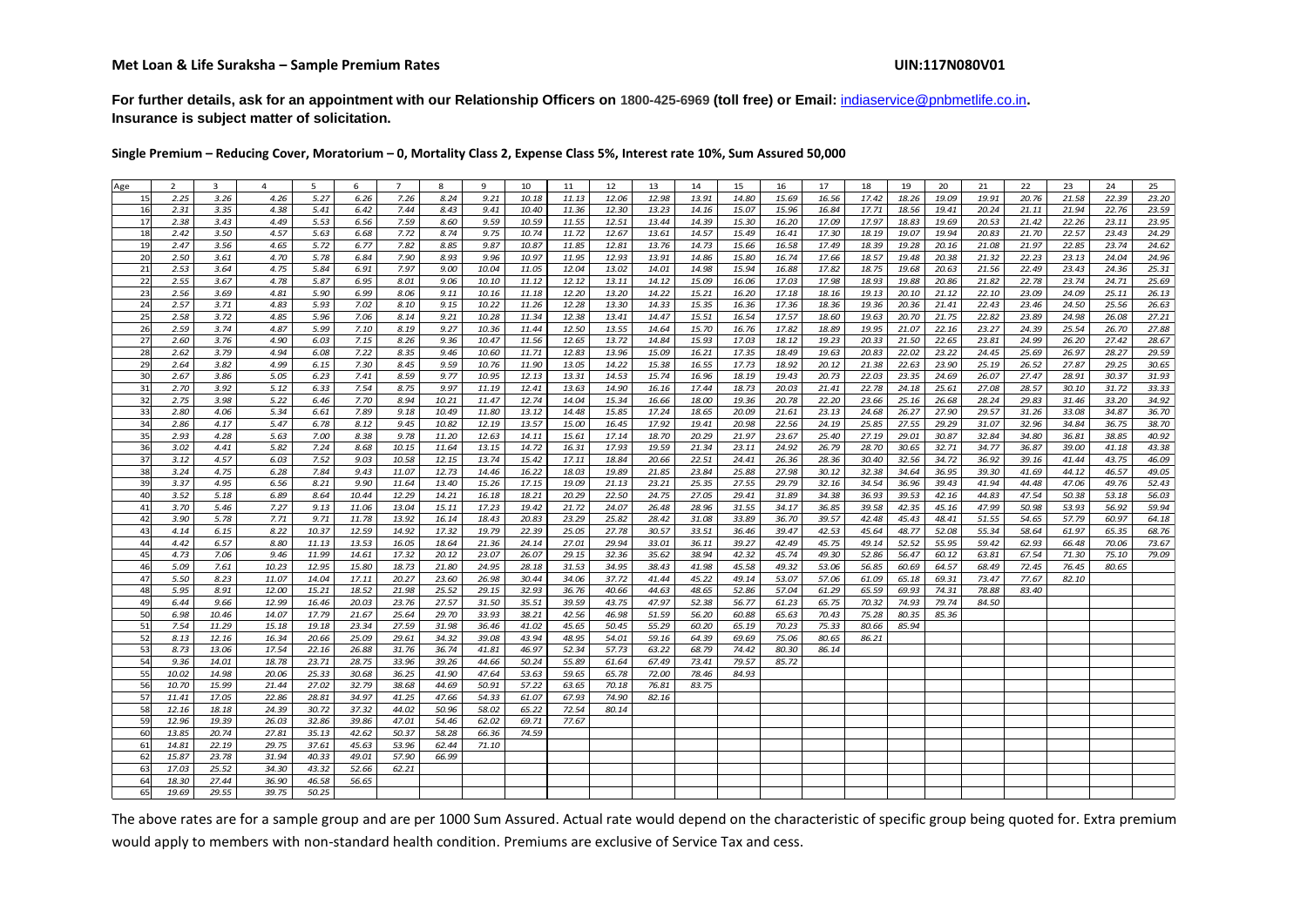**For further details, ask for an appointment with our Relationship Officers on 1800-425-6969 (toll free) or Email:** indiaservice@pnbmetlife.co.in**. Insurance is subject matter of solicitation.**

**Single Premium – Reducing Cover, Moratorium – 0, Mortality Class 2, Expense Class 5%, Interest rate 10%, Sum Assured 50,000**

| Age      | $\overline{2}$ | 3              | 4     | 5     | 6     | $\overline{7}$ | 8     | 9              | 10    | 11    | 12    | 13    | 14    | 15    | 16    | 17    | 18    | 19    | 20    | 21    | 22    | 23    | 24    | 25    |
|----------|----------------|----------------|-------|-------|-------|----------------|-------|----------------|-------|-------|-------|-------|-------|-------|-------|-------|-------|-------|-------|-------|-------|-------|-------|-------|
| 15       | 2.25           | 3.26           | 4.26  | 5.27  | 6.26  | 7.26           | 8.24  | 9.21           | 10.18 | 11.13 | 12.06 | 12.98 | 13.91 | 14.80 | 15.69 | 16.56 | 17.42 | 18.26 | 19.09 | 19.91 | 20.76 | 21.58 | 22.39 | 23.20 |
| 16       | 2.31           | 3.35           | 4.38  | 5.41  | 6.42  | 7.44           | 8.43  | 9.41           | 10.40 | 11.36 | 12.30 | 13.23 | 14.16 | 15.07 | 15.96 | 16.84 | 17.71 | 18.56 | 19.41 | 20.24 | 21.11 | 21.94 | 22.76 | 23.59 |
| 17       | 2.38           | 3.43           | 4.49  | 5.53  | 6.56  | 7.59           | 8.60  | 9.59           | 10.59 | 11.55 | 12.51 | 13.44 | 14.39 | 15.30 | 16.20 | 17.09 | 17.97 | 18.83 | 19.69 | 20.53 | 21.42 | 22.26 | 23.11 | 23.95 |
| 18       | 2.42           |                | 4.57  |       |       | 7.72           | 8.74  | 9.75           |       | 11.72 |       | 13.61 |       |       |       |       |       | 19.07 | 19.94 |       | 21.70 | 22.57 | 23.43 |       |
|          |                | 3.50           |       | 5.63  | 6.68  |                |       |                | 10.74 |       | 12.67 |       | 14.57 | 15.49 | 16.41 | 17.30 | 18.19 |       |       | 20.83 |       |       |       | 24.29 |
| 19       | 2.47           | 3.56           | 4.65  | 5.72  | 6.77  | 7.82           | 8.85  | 9.87           | 10.87 | 11.85 | 12.81 | 13.76 | 14.73 | 15.66 | 16.58 | 17.49 | 18.39 | 19.28 | 20.16 | 21.08 | 21.97 | 22.85 | 23.74 | 24.62 |
| 20       | 2.50           | 3.61           | 4.70  | 5.78  | 6.84  | 7.90           | 8.93  | 9.96           | 10.97 | 11.95 | 12.93 | 13.91 | 14.86 | 15.80 | 16.74 | 17.66 | 18.57 | 19.48 | 20.38 | 21.32 | 22.23 | 23.13 | 24.04 | 24.96 |
| 21       | 2.53           | 3.64           | 4.75  | 5.84  | 6.91  | 7.97           | 9.00  | 10.04          | 11.05 | 12.04 | 13.02 | 14.01 | 14.98 | 15.94 | 16.88 | 17.82 | 18.75 | 19.68 | 20.63 | 21.56 | 22.49 | 23.43 | 24.36 | 25.31 |
| 22       | 2.55           | 3.67           | 4.78  | 5.87  | 6.95  | 8.01           | 9.06  | 10.10          | 11.12 | 12.12 | 13.11 | 14.12 | 15.09 | 16.06 | 17.03 | 17.98 | 18.93 | 19.88 | 20.86 | 21.82 | 22.78 | 23.74 | 24.71 | 25.69 |
| 23       | 2.56           | 3.69           | 4.81  | 5.90  | 6.99  | 8.06           | 9.11  | 10.16          | 11.18 | 12.20 | 13.20 | 14.22 | 15.21 | 16.20 | 17.18 | 18.16 | 19.13 | 20.10 | 21.12 | 22.10 | 23.09 | 24.09 | 25.11 | 26.13 |
| 24       | 2.57           | 3.71           | 4.83  | 5.93  | 7.02  | 8.10           | 9.15  | 10.22          | 11.26 | 12.28 | 13.30 | 14.33 | 15.35 | 16.36 | 17.36 | 18.36 | 19.36 | 20.36 | 21.41 | 22.43 | 23.46 | 24.50 | 25.56 | 26.63 |
| 25       | 2.58           | 3.72           | 4.85  | 5.96  | 7.06  | 8.14           | 9.21  | 10.28          | 11.34 | 12.38 | 13.41 | 14.47 | 15.51 | 16.54 | 17.57 | 18.60 | 19.63 | 20.70 | 21.75 | 22.82 | 23.89 | 24.98 | 26.08 | 27.21 |
| 26       | 2.59           | 3.74           | 4.87  | 5.99  | 7.10  | 8.19           | 9.27  | 10.36          | 11.44 | 12.50 | 13.55 | 14.64 | 15.70 | 16.76 | 17.82 | 18.89 | 19.95 | 21.07 | 22.16 | 23.27 | 24.39 | 25.54 | 26.70 | 27.88 |
| 27       | 2.60           | 3.76           | 4.90  | 6.03  | 7.15  | 8.26           | 9.36  | 10.47          | 11.56 | 12.65 | 13.72 | 14.84 | 15.93 | 17.03 | 18.12 | 19.23 | 20.33 | 21.50 | 22.65 | 23.81 | 24.99 | 26.20 | 27.42 | 28.67 |
| 28       | 2.62           | 3.79           | 4.94  | 6.08  | 7.22  | 8.35           | 9.46  | 10.60          | 11.71 | 12.83 | 13.96 | 15.09 | 16.21 | 17.35 | 18.49 | 19.63 | 20.83 | 22.02 | 23.22 | 24.45 | 25.69 | 26.97 | 28.27 | 29.59 |
| 29       | 2.64           | 3.82           | 4.99  | 6.15  | 7.30  | 8.45           | 9.59  | 10.76          | 11.90 | 13.05 | 14.22 | 15.38 | 16.55 | 17.73 | 18.92 | 20.12 | 21.38 | 22.63 | 23.90 | 25.19 | 26.52 | 27.87 | 29.25 | 30.65 |
| 30       | 2.67           | 3.86           | 5.05  | 6.23  | 7.41  | 8.59           | 9.77  | 10.95          | 12.13 | 13.31 | 14.53 | 15.74 | 16.96 | 18.19 | 19.43 | 20.73 | 22.03 | 23.35 | 24.69 | 26.07 | 27.47 | 28.91 | 30.37 | 31.93 |
| 31       | 2.70           | 3.92           | 5.12  | 6.33  | 7.54  | 8.75           | 9.97  | 11.19          | 12.41 | 13.63 | 14.90 | 16.16 | 17.44 | 18.73 | 20.03 | 21.41 | 22.78 | 24.18 | 25.61 | 27.08 | 28.57 | 30.10 | 31.72 | 33.33 |
| 32       | 2.75           | 3.98           | 5.22  | 6.46  | 7.70  | 8.94           | 10.21 | 11.47          | 12.74 | 14.04 | 15.34 | 16.66 | 18.00 | 19.36 | 20.78 | 22.20 | 23.66 | 25.16 | 26.68 | 28.24 | 29.83 | 31.46 | 33.20 | 34.92 |
| 33       | 2.80           | 4.06           | 5.34  | 6.61  | 7.89  | 9.18           | 10.49 | 11.80          | 13.12 | 14.48 | 15.85 | 17.24 | 18.65 | 20.09 | 21.61 | 23.13 | 24.68 | 26.27 | 27.90 | 29.57 | 31.26 | 33.08 | 34.87 | 36.70 |
| 34       | 2.86           | 4.17           | 5.47  | 6.78  | 8.12  | 9.45           | 10.82 | 12.19          | 13.57 | 15.00 | 16.45 | 17.92 | 19.41 | 20.98 | 22.56 | 24.19 | 25.85 | 27.55 | 29.29 | 31.07 | 32.96 | 34.84 | 36.75 | 38.70 |
|          |                |                |       |       |       |                |       |                |       |       |       |       |       |       |       |       |       |       |       |       |       |       |       |       |
| 35       | 2.93           | 4.28           | 5.63  | 7.00  | 8.38  | 9.78           | 11.20 | 12.63          | 14.11 | 15.61 | 17.14 | 18.70 | 20.29 | 21.97 | 23.67 | 25.40 | 27.19 | 29.01 | 30.87 | 32.84 | 34.80 | 36.81 | 38.85 | 40.92 |
| 36       | 3.02           | 4.41           | 5.82  | 7.24  | 8.68  | 10.15          | 11.64 | 13.15          | 14.72 | 16.31 | 17.93 | 19.59 | 21.34 | 23.11 | 24.92 | 26.79 | 28.70 | 30.65 | 32.71 | 34.77 | 36.87 | 39.00 | 41.18 | 43.38 |
| 37       | 3.12           | 4.57           | 6.03  | 7.52  | 9.03  | 10.58          | 12.15 | 13.74          | 15.42 | 17.11 | 18.84 | 20.66 | 22.51 | 24.41 | 26.36 | 28.36 | 30.40 | 32.56 | 34.72 | 36.92 | 39.16 | 41.44 | 43.75 | 46.09 |
| 38       | 3.24           | 4.75           | 6.28  | 7.84  | 9.43  | 11.07          | 12.73 | 14.46          | 16.22 | 18.03 | 19.89 | 21.85 | 23.84 | 25.88 | 27.98 | 30.12 | 32.38 | 34.64 | 36.95 | 39.30 | 41.69 | 44.12 | 46.57 | 49.05 |
| 39       | 3.37           | 4.95           | 6.56  | 8.21  | 9.90  | 11.64          | 13.40 | 15.26          | 17.15 | 19.09 | 21.13 | 23.21 | 25.35 | 27.55 | 29.79 | 32.16 | 34.54 | 36.96 | 39.43 | 41.94 | 44.48 | 47.06 | 49.76 | 52.43 |
| 40       | 3.52           | 5.18           | 6.89  | 8.64  | 10.44 | 12.29          | 14.21 | 16.18          | 18.21 | 20.29 | 22.50 | 24.75 | 27.05 | 29.41 | 31.89 | 34.38 | 36.93 | 39.53 | 42.16 | 44.83 | 47.54 | 50.38 | 53.18 | 56.03 |
| 41       | 3.70           | 5.46           | 7.27  | 9.13  | 11.06 | 13.04          | 15.11 | 17.23          | 19.42 | 21.72 | 24.07 | 26.48 | 28.96 | 31.55 | 34.17 | 36.85 | 39.58 | 42.35 | 45.16 | 47.99 | 50.98 | 53.93 | 56.92 | 59.94 |
| 42       | 3.90           | 5.78           | 7.71  | 9.71  | 11.78 | 13.92          | 16.14 | 18.43          | 20.83 | 23.29 | 25.82 | 28.42 | 31.08 | 33.89 | 36.70 | 39.57 | 42.48 | 45.43 | 48.41 | 51.55 | 54.65 | 57.79 | 60.97 | 64.18 |
| 43       | 4.14           | 6.15           | 8.22  | 10.37 | 12.59 | 14.92          | 17.32 | 19.79          | 22.39 | 25.05 | 27.78 | 30.57 | 33.51 | 36.46 | 39.47 | 42.53 | 45.64 | 48.77 | 52.08 | 55.34 | 58.64 | 61.97 | 65.35 | 68.76 |
| 44       | 4.42           | 6.57           | 8.80  | 11.13 | 13.53 | 16.05          | 18.64 | 21.36          | 24.14 | 27.01 | 29.94 | 33.01 | 36.11 | 39.27 | 42.49 | 45.75 | 49.14 | 52.52 | 55.95 | 59.42 | 62.93 | 66.48 | 70.06 | 73.67 |
| 45       | 4.73           | 7.06           | 9.46  | 11.99 | 14.61 | 17.32          | 20.12 | 23.07          | 26.07 | 29.15 | 32.36 | 35.62 | 38.94 | 42.32 | 45.74 | 49.30 | 52.86 | 56.47 | 60.12 | 63.81 | 67.54 | 71.30 | 75.10 | 79.09 |
| 46       | 5.09           | 7.61           | 10.23 | 12.95 | 15.80 | 18.73          | 21.80 | 24.95          | 28.18 | 31.53 | 34.95 | 38.43 | 41.98 | 45.58 | 49.32 | 53.06 | 56.85 | 60.69 | 64.57 | 68.49 | 72.45 | 76.45 | 80.65 |       |
| 47       | 5.50           | 8.23           | 11.07 | 14.04 | 17.11 | 20.27          | 23.60 | 26.98          | 30.44 | 34.06 | 37.72 | 41.44 | 45.22 | 49.14 | 53.07 | 57.06 | 61.09 | 65.18 | 69.31 | 73.47 | 77.67 | 82.10 |       |       |
| 48       | 5.95           | 8.91           | 12.00 | 15.21 | 18.52 | 21.98          | 25.52 | 29.15          | 32.93 | 36.76 | 40.66 | 44.63 | 48.65 | 52.86 | 57.04 | 61.29 | 65.59 | 69.93 | 74.31 | 78.88 | 83.40 |       |       |       |
| 49       | 6.44           | 9.66           | 12.99 | 16.46 | 20.03 | 23.76          | 27.57 | 31.50          | 35.51 | 39.59 | 43.75 | 47.97 | 52.38 | 56.77 | 61.23 | 65.75 | 70.32 | 74.93 | 79.74 | 84.50 |       |       |       |       |
| 50       | 6.98           | 10.46          | 14.07 | 17.79 | 21.67 | 25.64          | 29.70 | 33.93          | 38.21 | 42.56 | 46.98 | 51.59 | 56.20 | 60.88 | 65.63 | 70.43 | 75.28 | 80.35 | 85.36 |       |       |       |       |       |
| 51       | 7.54           | 11.29          | 15.18 | 19.18 | 23.34 | 27.59          | 31.98 | 36.46          | 41.02 | 45.65 | 50.45 | 55.29 | 60.20 | 65.19 | 70.23 | 75.33 | 80.66 | 85.94 |       |       |       |       |       |       |
| 52       | 8.13           | 12.16          | 16.34 | 20.66 | 25.09 | 29.61          | 34.32 | 39.08          | 43.94 | 48.95 | 54.01 | 59.16 | 64.39 | 69.69 | 75.06 | 80.65 | 86.21 |       |       |       |       |       |       |       |
| 53       | 8.73           | 13.06          | 17.54 | 22.16 | 26.88 | 31.76          | 36.74 | 41.81          | 46.97 | 52.34 | 57.73 | 63.22 | 68.79 | 74.42 | 80.30 | 86.14 |       |       |       |       |       |       |       |       |
|          |                |                |       |       |       |                |       |                |       |       |       |       | 73.41 |       |       |       |       |       |       |       |       |       |       |       |
| 54<br>55 | 9.36           | 14.01<br>14.98 | 18.78 | 23.71 | 28.75 | 33.96          | 39.26 | 44.66<br>47.64 | 50.24 | 55.89 | 61.64 | 67.49 |       | 79.57 | 85.72 |       |       |       |       |       |       |       |       |       |
|          | 10.02          |                | 20.06 | 25.33 | 30.68 | 36.25          | 41.90 |                | 53.63 | 59.65 | 65.78 | 72.00 | 78.46 | 84.93 |       |       |       |       |       |       |       |       |       |       |
| 56       | 10.70          | 15.99          | 21.44 | 27.02 | 32.79 | 38.68          | 44.69 | 50.91          | 57.22 | 63.65 | 70.18 | 76.81 | 83.75 |       |       |       |       |       |       |       |       |       |       |       |
| 57       | 11.41          | 17.05          | 22.86 | 28.81 | 34.97 | 41.25          | 47.66 | 54.33          | 61.07 | 67.93 | 74.90 | 82.16 |       |       |       |       |       |       |       |       |       |       |       |       |
| 58       | 12.16          | 18.18          | 24.39 | 30.72 | 37.32 | 44.02          | 50.96 | 58.02          | 65.22 | 72.54 | 80.14 |       |       |       |       |       |       |       |       |       |       |       |       |       |
| 59       | 12.96          | 19.39          | 26.03 | 32.86 | 39.86 | 47.01          | 54.46 | 62.02          | 69.71 | 77.67 |       |       |       |       |       |       |       |       |       |       |       |       |       |       |
| 60       | 13.85          | 20.74          | 27.81 | 35.13 | 42.62 | 50.37          | 58.28 | 66.36          | 74.59 |       |       |       |       |       |       |       |       |       |       |       |       |       |       |       |
| 61       | 14.81          | 22.19          | 29.75 | 37.61 | 45.63 | 53.96          | 62.44 | 71.10          |       |       |       |       |       |       |       |       |       |       |       |       |       |       |       |       |
| 62       | 15.87          | 23.78          | 31.94 | 40.33 | 49.01 | 57.90          | 66.99 |                |       |       |       |       |       |       |       |       |       |       |       |       |       |       |       |       |
| 63       | 17.03          | 25.52          | 34.30 | 43.32 | 52.66 | 62.21          |       |                |       |       |       |       |       |       |       |       |       |       |       |       |       |       |       |       |
| 64       | 18.30          | 27.44          | 36.90 | 46.58 | 56.65 |                |       |                |       |       |       |       |       |       |       |       |       |       |       |       |       |       |       |       |
| 65       | 19.69          | 29.55          | 39.75 | 50.25 |       |                |       |                |       |       |       |       |       |       |       |       |       |       |       |       |       |       |       |       |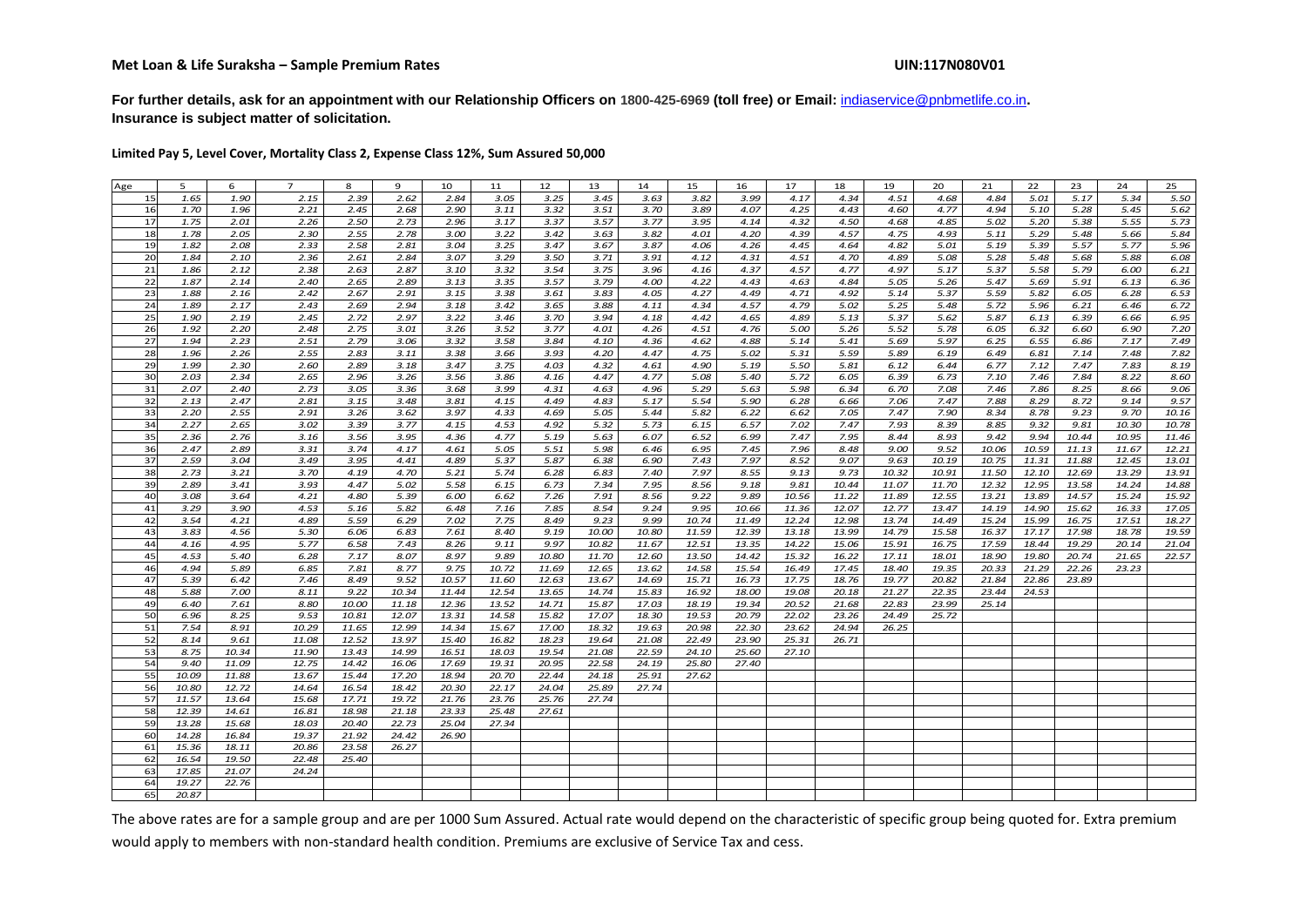**For further details, ask for an appointment with our Relationship Officers on 1800-425-6969 (toll free) or Email:** indiaservice@pnbmetlife.co.in**. Insurance is subject matter of solicitation.**

**Limited Pay 5, Level Cover, Mortality Class 2, Expense Class 12%, Sum Assured 50,000**

| Age       | 5     | 6     | $\overline{7}$ | 8     | 9     | 10    | 11    | 12    | 13    | 14    | 15    | 16    | 17    | 18    | 19    | 20    | 21    | 22    | 23    | 24    | 25    |
|-----------|-------|-------|----------------|-------|-------|-------|-------|-------|-------|-------|-------|-------|-------|-------|-------|-------|-------|-------|-------|-------|-------|
| 15        | 1.65  | 1.90  | 2.15           | 2.39  | 2.62  | 2.84  | 3.05  | 3.25  | 3.45  | 3.63  | 3.82  | 3.99  | 4.17  | 4.34  | 4.51  | 4.68  | 4.84  | 5.01  | 5.17  | 5.34  | 5.50  |
| 16        | 1.70  | 1.96  | 2.21           | 2.45  | 2.68  | 2.90  | 3.11  | 3.32  | 3.51  | 3.70  | 3.89  | 4.07  | 4.25  | 4.43  | 4.60  | 4.77  | 4.94  | 5.10  | 5.28  | 5.45  | 5.62  |
| 17        | 1.75  | 2.01  | 2.26           | 2.50  | 2.73  | 2.96  | 3.17  | 3.37  | 3.57  | 3.77  | 3.95  | 4.14  | 4.32  | 4.50  | 4.68  | 4.85  | 5.02  | 5.20  | 5.38  | 5.55  | 5.73  |
| 18        | 1.78  | 2.05  | 2.30           | 2.55  | 2.78  | 3.00  | 3.22  | 3.42  | 3.63  | 3.82  | 4.01  | 4.20  | 4.39  | 4.57  | 4.75  | 4.93  | 5.11  | 5.29  | 5.48  | 5.66  | 5.84  |
| 19        | 1.82  | 2.08  | 2.33           | 2.58  | 2.81  | 3.04  | 3.25  | 3.47  | 3.67  | 3.87  | 4.06  | 4.26  | 4.45  | 4.64  | 4.82  | 5.01  | 5.19  | 5.39  | 5.57  | 5.77  | 5.96  |
| 20        | 1.84  | 2.10  | 2.36           | 2.61  | 2.84  | 3.07  | 3.29  | 3.50  | 3.71  | 3.91  | 4.12  | 4.31  | 4.51  | 4.70  | 4.89  | 5.08  | 5.28  | 5.48  | 5.68  | 5.88  | 6.08  |
| 21        | 1.86  | 2.12  | 2.38           | 2.63  | 2.87  | 3.10  | 3.32  | 3.54  | 3.75  | 3.96  | 4.16  | 4.37  | 4.57  | 4.77  | 4.97  | 5.17  | 5.37  | 5.58  | 5.79  | 6.00  | 6.21  |
| 22        | 1.87  | 2.14  | 2.40           | 2.65  | 2.89  | 3.13  | 3.35  | 3.57  | 3.79  | 4.00  | 4.22  | 4.43  | 4.63  | 4.84  | 5.05  | 5.26  | 5.47  | 5.69  | 5.91  | 6.13  | 6.36  |
| 23        | 1.88  | 2.16  | 2.42           | 2.67  | 2.91  | 3.15  | 3.38  | 3.61  | 3.83  | 4.05  | 4.27  | 4.49  | 4.71  | 4.92  | 5.14  | 5.37  | 5.59  | 5.82  | 6.05  | 6.28  | 6.53  |
| 24        | 1.89  | 2.17  | 2.43           | 2.69  | 2.94  | 3.18  | 3.42  | 3.65  | 3.88  | 4.11  | 4.34  | 4.57  | 4.79  | 5.02  | 5.25  | 5.48  | 5.72  | 5.96  | 6.21  | 6.46  | 6.72  |
| 25        | 1.90  | 2.19  | 2.45           | 2.72  | 2.97  | 3.22  | 3.46  | 3.70  | 3.94  | 4.18  | 4.42  | 4.65  | 4.89  | 5.13  | 5.37  | 5.62  | 5.87  | 6.13  | 6.39  | 6.66  | 6.95  |
| 26        | 1.92  | 2.20  | 2.48           | 2.75  | 3.01  | 3.26  | 3.52  | 3.77  | 4.01  | 4.26  | 4.51  | 4.76  | 5.00  | 5.26  | 5.52  | 5.78  | 6.05  | 6.32  | 6.60  | 6.90  | 7.20  |
| 27        | 1.94  | 2.23  | 2.51           | 2.79  | 3.06  | 3.32  | 3.58  | 3.84  | 4.10  | 4.36  | 4.62  | 4.88  | 5.14  | 5.41  | 5.69  | 5.97  | 6.25  | 6.55  | 6.86  | 7.17  | 7.49  |
| 28        | 1.96  | 2.26  | 2.55           | 2.83  | 3.11  | 3.38  | 3.66  | 3.93  | 4.20  | 4.47  | 4.75  | 5.02  | 5.31  | 5.59  | 5.89  | 6.19  | 6.49  | 6.81  | 7.14  | 7.48  | 7.82  |
| 29        | 1.99  | 2.30  | 2.60           | 2.89  | 3.18  | 3.47  | 3.75  | 4.03  | 4.32  | 4.61  | 4.90  | 5.19  | 5.50  | 5.81  | 6.12  | 6.44  | 6.77  | 7.12  | 7.47  | 7.83  | 8.19  |
| 30        | 2.03  | 2.34  | 2.65           | 2.96  | 3.26  | 3.56  | 3.86  | 4.16  | 4.47  | 4.77  | 5.08  | 5.40  | 5.72  | 6.05  | 6.39  | 6.73  | 7.10  | 7.46  | 7.84  | 8.22  | 8.60  |
| 31        | 2.07  | 2.40  | 2.73           | 3.05  | 3.36  | 3.68  | 3.99  | 4.31  | 4.63  | 4.96  | 5.29  | 5.63  | 5.98  | 6.34  | 6.70  | 7.08  | 7.46  | 7.86  | 8.25  | 8.66  | 9.06  |
| 32        | 2.13  | 2.47  | 2.81           | 3.15  | 3.48  | 3.81  | 4.15  | 4.49  | 4.83  | 5.17  | 5.54  | 5.90  | 6.28  | 6.66  | 7.06  | 7.47  | 7.88  | 8.29  | 8.72  | 9.14  | 9.57  |
| 33        | 2.20  | 2.55  | 2.91           | 3.26  | 3.62  | 3.97  | 4.33  | 4.69  | 5.05  | 5.44  | 5.82  | 6.22  | 6.62  | 7.05  | 7.47  | 7.90  | 8.34  | 8.78  | 9.23  | 9.70  | 10.16 |
| 34        | 2.27  | 2.65  | 3.02           | 3.39  | 3.77  | 4.15  | 4.53  | 4.92  | 5.32  | 5.73  | 6.15  | 6.57  | 7.02  | 7.47  | 7.93  | 8.39  | 8.85  | 9.32  | 9.81  | 10.30 | 10.78 |
| 35        | 2.36  | 2.76  | 3.16           | 3.56  | 3.95  | 4.36  | 4.77  | 5.19  | 5.63  | 6.07  | 6.52  | 6.99  | 7.47  | 7.95  | 8.44  | 8.93  | 9.42  | 9.94  | 10.44 | 10.95 | 11.46 |
| 36        | 2.47  | 2.89  | 3.31           | 3.74  | 4.17  | 4.61  | 5.05  | 5.51  | 5.98  | 6.46  | 6.95  | 7.45  | 7.96  | 8.48  | 9.00  | 9.52  | 10.06 | 10.59 | 11.13 | 11.67 | 12.21 |
| 37        | 2.59  | 3.04  | 3.49           | 3.95  | 4.41  | 4.89  | 5.37  | 5.87  | 6.38  | 6.90  | 7.43  | 7.97  | 8.52  | 9.07  | 9.63  | 10.19 | 10.75 | 11.31 | 11.88 | 12.45 | 13.01 |
| 38        | 2.73  | 3.21  | 3.70           | 4.19  | 4.70  | 5.21  | 5.74  | 6.28  | 6.83  | 7.40  | 7.97  | 8.55  | 9.13  | 9.73  | 10.32 | 10.91 | 11.50 | 12.10 | 12.69 | 13.29 | 13.91 |
| 39        | 2.89  | 3.41  | 3.93           | 4.47  | 5.02  | 5.58  | 6.15  | 6.73  | 7.34  | 7.95  | 8.56  | 9.18  | 9.81  | 10.44 | 11.07 | 11.70 | 12.32 | 12.95 | 13.58 | 14.24 | 14.88 |
| 40        | 3.08  | 3.64  | 4.21           | 4.80  | 5.39  | 6.00  | 6.62  | 7.26  | 7.91  | 8.56  | 9.22  | 9.89  | 10.56 | 11.22 | 11.89 | 12.55 | 13.21 | 13.89 | 14.57 | 15.24 | 15.92 |
| 41        | 3.29  | 3.90  | 4.53           | 5.16  | 5.82  | 6.48  | 7.16  | 7.85  | 8.54  | 9.24  | 9.95  | 10.66 | 11.36 | 12.07 | 12.77 | 13.47 | 14.19 | 14.90 | 15.62 | 16.33 | 17.05 |
| 42        | 3.54  | 4.21  | 4.89           | 5.59  | 6.29  | 7.02  | 7.75  | 8.49  | 9.23  | 9.99  | 10.74 | 11.49 | 12.24 | 12.98 | 13.74 | 14.49 | 15.24 | 15.99 | 16.75 | 17.51 | 18.27 |
| 43        | 3.83  | 4.56  | 5.30           | 6.06  | 6.83  | 7.61  | 8.40  | 9.19  | 10.00 | 10.80 | 11.59 | 12.39 | 13.18 | 13.99 | 14.79 | 15.58 | 16.37 | 17.17 | 17.98 | 18.78 | 19.59 |
| 44        | 4.16  | 4.95  | 5.77           | 6.58  | 7.43  | 8.26  | 9.11  | 9.97  | 10.82 | 11.67 | 12.51 | 13.35 | 14.22 | 15.06 | 15.91 | 16.75 | 17.59 | 18.44 | 19.29 | 20.14 | 21.04 |
| 45        | 4.53  | 5.40  | 6.28           | 7.17  | 8.07  | 8.97  | 9.89  | 10.80 | 11.70 | 12.60 | 13.50 | 14.42 | 15.32 | 16.22 | 17.11 | 18.01 | 18.90 | 19.80 | 20.74 | 21.65 | 22.57 |
| 46        | 4.94  | 5.89  | 6.85           | 7.81  | 8.77  | 9.75  | 10.72 | 11.69 | 12.65 | 13.62 | 14.58 | 15.54 | 16.49 | 17.45 | 18.40 | 19.35 | 20.33 | 21.29 | 22.26 | 23.23 |       |
| 47        | 5.39  | 6.42  | 7.46           | 8.49  | 9.52  | 10.57 | 11.60 | 12.63 | 13.67 | 14.69 | 15.71 | 16.73 | 17.75 | 18.76 | 19.77 | 20.82 | 21.84 | 22.86 | 23.89 |       |       |
| 48        | 5.88  | 7.00  | 8.11           | 9.22  | 10.34 | 11.44 | 12.54 | 13.65 | 14.74 | 15.83 | 16.92 | 18.00 | 19.08 | 20.18 | 21.27 | 22.35 | 23.44 | 24.53 |       |       |       |
| 49        | 6.40  | 7.61  | 8.80           | 10.00 | 11.18 | 12.36 | 13.52 | 14.71 | 15.87 | 17.03 | 18.19 | 19.34 | 20.52 | 21.68 | 22.83 | 23.99 | 25.14 |       |       |       |       |
| 50        | 6.96  | 8.25  | 9.53           | 10.81 | 12.07 | 13.31 | 14.58 | 15.82 | 17.07 | 18.30 | 19.53 | 20.79 | 22.02 | 23.26 | 24.49 | 25.72 |       |       |       |       |       |
| 51        | 7.54  | 8.91  | 10.29          | 11.65 | 12.99 | 14.34 | 15.67 | 17.00 | 18.32 | 19.63 | 20.98 | 22.30 | 23.62 | 24.94 | 26.25 |       |       |       |       |       |       |
| 52        | 8.14  | 9.61  | 11.08          | 12.52 | 13.97 | 15.40 | 16.82 | 18.23 | 19.64 | 21.08 | 22.49 | 23.90 | 25.31 | 26.71 |       |       |       |       |       |       |       |
| 53        | 8.75  | 10.34 | 11.90          | 13.43 | 14.99 | 16.51 | 18.03 | 19.54 | 21.08 | 22.59 | 24.10 | 25.60 | 27.10 |       |       |       |       |       |       |       |       |
| 54        | 9.40  | 11.09 | 12.75          | 14.42 | 16.06 | 17.69 | 19.31 | 20.95 | 22.58 | 24.19 | 25.80 | 27.40 |       |       |       |       |       |       |       |       |       |
| 55        | 10.09 | 11.88 | 13.67          | 15.44 | 17.20 | 18.94 | 20.70 | 22.44 | 24.18 | 25.91 | 27.62 |       |       |       |       |       |       |       |       |       |       |
| 56        | 10.80 | 12.72 | 14.64          | 16.54 | 18.42 | 20.30 | 22.17 | 24.04 | 25.89 | 27.74 |       |       |       |       |       |       |       |       |       |       |       |
| 57        | 11.57 | 13.64 | 15.68          | 17.71 | 19.72 | 21.76 | 23.76 | 25.76 | 27.74 |       |       |       |       |       |       |       |       |       |       |       |       |
| 58        | 12.39 | 14.61 | 16.81          | 18.98 | 21.18 | 23.33 | 25.48 | 27.61 |       |       |       |       |       |       |       |       |       |       |       |       |       |
| 59        | 13.28 | 15.68 | 18.03          | 20.40 | 22.73 | 25.04 | 27.34 |       |       |       |       |       |       |       |       |       |       |       |       |       |       |
| <b>60</b> | 14.28 | 16.84 | 19.37          | 21.92 | 24.42 | 26.90 |       |       |       |       |       |       |       |       |       |       |       |       |       |       |       |
| 61        | 15.36 | 18.11 | 20.86          | 23.58 | 26.27 |       |       |       |       |       |       |       |       |       |       |       |       |       |       |       |       |
| 62        | 16.54 | 19.50 | 22.48          | 25.40 |       |       |       |       |       |       |       |       |       |       |       |       |       |       |       |       |       |
| 63        | 17.85 | 21.07 | 24.24          |       |       |       |       |       |       |       |       |       |       |       |       |       |       |       |       |       |       |
| 64        | 19.27 | 22.76 |                |       |       |       |       |       |       |       |       |       |       |       |       |       |       |       |       |       |       |
| 65        | 20.87 |       |                |       |       |       |       |       |       |       |       |       |       |       |       |       |       |       |       |       |       |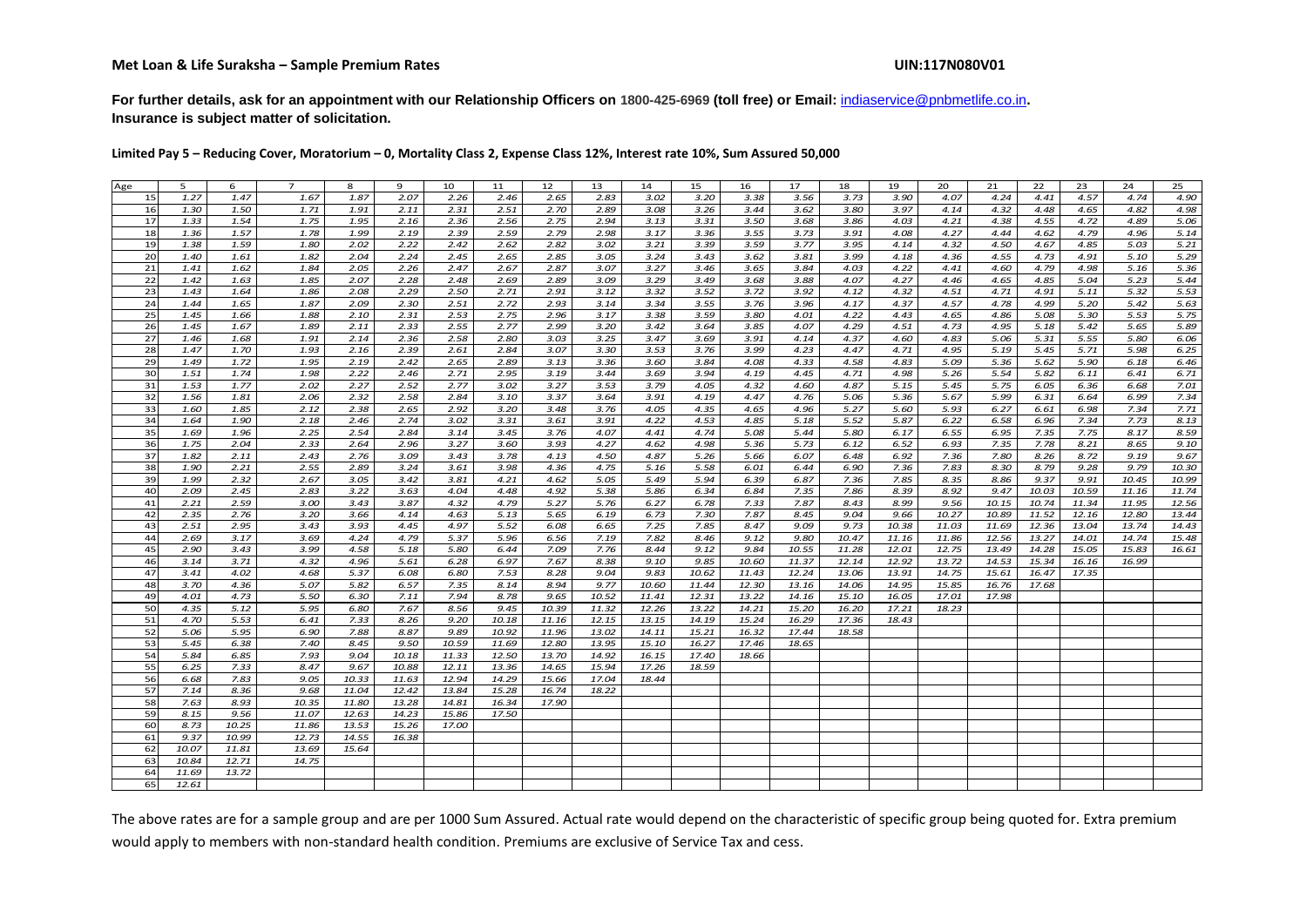**For further details, ask for an appointment with our Relationship Officers on 1800-425-6969 (toll free) or Email:** indiaservice@pnbmetlife.co.in**. Insurance is subject matter of solicitation.**

**Limited Pay 5 – Reducing Cover, Moratorium – 0, Mortality Class 2, Expense Class 12%, Interest rate 10%, Sum Assured 50,000**

| Age | 5     | 6     | $\overline{7}$ | 8     | 9     | 10    | 11    | 12    | 13    | 14    | 15    | 16    | 17    | 18    | 19    | 20    | 21    | 22    | 23    | 24    | 25    |
|-----|-------|-------|----------------|-------|-------|-------|-------|-------|-------|-------|-------|-------|-------|-------|-------|-------|-------|-------|-------|-------|-------|
| 15  | 1.27  | 1.47  | 1.67           | 1.87  | 2.07  | 2.26  | 2.46  | 2.65  | 2.83  | 3.02  | 3.20  | 3.38  | 3.56  | 3.73  | 3.90  | 4.07  | 4.24  | 4.41  | 4.57  | 4.74  | 4.90  |
| 16  | 1.30  | 1.50  | 1.71           | 1.91  | 2.11  | 2.31  | 2.51  | 2.70  | 2.89  | 3.08  | 3.26  | 3.44  | 3.62  | 3.80  | 3.97  | 4.14  | 4.32  | 4.48  | 4.65  | 4.82  | 4.98  |
| 17  | 1.33  | 1.54  | 1.75           | 1.95  | 2.16  | 2.36  | 2.56  | 2.75  | 2.94  | 3.13  | 3.31  | 3.50  | 3.68  | 3.86  | 4.03  | 4.21  | 4.38  | 4.55  | 4.72  | 4.89  | 5.06  |
| 18  | 1.36  | 1.57  | 1.78           | 1.99  | 2.19  | 2.39  | 2.59  | 2.79  | 2.98  | 3.17  | 3.36  | 3.55  | 3.73  | 3.91  | 4.08  | 4.27  | 4.44  | 4.62  | 4.79  | 4.96  | 5.14  |
| 19  | 1.38  | 1.59  | 1.80           | 2.02  | 2.22  | 2.42  | 2.62  | 2.82  | 3.02  | 3.21  | 3.39  | 3.59  | 3.77  | 3.95  | 4.14  | 4.32  | 4.50  | 4.67  | 4.85  | 5.03  | 5.21  |
| 20  | 1.40  | 1.61  | 1.82           | 2.04  | 2.24  | 2.45  | 2.65  | 2.85  | 3.05  | 3.24  | 3.43  | 3.62  | 3.81  | 3.99  | 4.18  | 4.36  | 4.55  | 4.73  | 4.91  | 5.10  | 5.29  |
| 21  | 1.41  | 1.62  | 1.84           | 2.05  | 2.26  | 2.47  | 2.67  | 2.87  | 3.07  | 3.27  | 3.46  | 3.65  | 3.84  | 4.03  | 4.22  | 4.41  | 4.60  | 4.79  | 4.98  | 5.16  | 5.36  |
| 22  | 1.42  | 1.63  | 1.85           | 2.07  | 2.28  | 2.48  | 2.69  | 2.89  | 3.09  | 3.29  | 3.49  | 3.68  | 3.88  | 4.07  | 4.27  | 4.46  | 4.65  | 4.85  | 5.04  | 5.23  | 5.44  |
| 23  | 1.43  | 1.64  | 1.86           | 2.08  | 2.29  | 2.50  | 2.71  | 2.91  | 3.12  | 3.32  | 3.52  | 3.72  | 3.92  | 4.12  | 4.32  | 4.51  | 4.71  | 4.91  | 5.11  | 5.32  | 5.53  |
| 24  | 1.44  | 1.65  | 1.87           | 2.09  | 2.30  | 2.51  | 2.72  | 2.93  | 3.14  | 3.34  | 3.55  | 3.76  | 3.96  | 4.17  | 4.37  | 4.57  | 4.78  | 4.99  | 5.20  | 5.42  | 5.63  |
| 25  | 1.45  | 1.66  | 1.88           | 2.10  | 2.31  | 2.53  | 2.75  | 2.96  | 3.17  | 3.38  | 3.59  | 3.80  | 4.01  | 4.22  | 4.43  | 4.65  | 4.86  | 5.08  | 5.30  | 5.53  | 5.75  |
| 26  | 1.45  | 1.67  | 1.89           | 2.11  | 2.33  | 2.55  | 2.77  | 2.99  | 3.20  | 3.42  | 3.64  | 3.85  | 4.07  | 4.29  | 4.51  | 4.73  | 4.95  | 5.18  | 5.42  | 5.65  | 5.89  |
| 27  | 1.46  | 1.68  | 1.91           | 2.14  | 2.36  | 2.58  | 2.80  | 3.03  | 3.25  | 3.47  | 3.69  | 3.91  | 4.14  | 4.37  | 4.60  | 4.83  | 5.06  | 5.31  | 5.55  | 5.80  | 6.06  |
| 28  | 1.47  | 1.70  | 1.93           | 2.16  | 2.39  | 2.61  | 2.84  | 3.07  | 3.30  | 3.53  | 3.76  | 3.99  | 4.23  | 4.47  | 4.71  | 4.95  | 5.19  | 5.45  | 5.71  | 5.98  | 6.25  |
| 29  | 1.49  | 1.72  | 1.95           | 2.19  | 2.42  | 2.65  | 2.89  | 3.13  | 3.36  | 3.60  | 3.84  | 4.08  | 4.33  | 4.58  | 4.83  | 5.09  | 5.36  | 5.62  | 5.90  | 6.18  | 6.46  |
| 30  | 1.51  | 1.74  | 1.98           | 2.22  | 2.46  | 2.71  | 2.95  | 3.19  | 3.44  | 3.69  | 3.94  | 4.19  | 4.45  | 4.71  | 4.98  | 5.26  | 5.54  | 5.82  | 6.11  | 6.41  | 6.71  |
| 31  | 1.53  | 1.77  | 2.02           | 2.27  | 2.52  | 2.77  | 3.02  | 3.27  | 3.53  | 3.79  | 4.05  | 4.32  | 4.60  | 4.87  | 5.15  | 5.45  | 5.75  | 6.05  | 6.36  | 6.68  | 7.01  |
| 32  | 1.56  | 1.81  | 2.06           | 2.32  | 2.58  | 2.84  | 3.10  | 3.37  | 3.64  | 3.91  | 4.19  | 4.47  | 4.76  | 5.06  | 5.36  | 5.67  | 5.99  | 6.31  | 6.64  | 6.99  | 7.34  |
| 33  | 1.60  | 1.85  | 2.12           | 2.38  | 2.65  | 2.92  | 3.20  | 3.48  | 3.76  | 4.05  | 4.35  | 4.65  | 4.96  | 5.27  | 5.60  | 5.93  | 6.27  | 6.61  | 6.98  | 7.34  | 7.71  |
| 34  | 1.64  | 1.90  | 2.18           | 2.46  | 2.74  | 3.02  | 3.31  | 3.61  | 3.91  | 4.22  | 4.53  | 4.85  | 5.18  | 5.52  | 5.87  | 6.22  | 6.58  | 6.96  | 7.34  | 7.73  | 8.13  |
| 35  | 1.69  | 1.96  | 2.25           | 2.54  | 2.84  | 3.14  | 3.45  | 3.76  | 4.07  | 4.41  | 4.74  | 5.08  | 5.44  | 5.80  | 6.17  | 6.55  | 6.95  | 7.35  | 7.75  | 8.17  | 8.59  |
| 36  | 1.75  | 2.04  | 2.33           | 2.64  | 2.96  | 3.27  | 3.60  | 3.93  | 4.27  | 4.62  | 4.98  | 5.36  | 5.73  | 6.12  | 6.52  | 6.93  | 7.35  | 7.78  | 8.21  | 8.65  | 9.10  |
| 37  | 1.82  | 2.11  | 2.43           | 2.76  | 3.09  | 3.43  | 3.78  | 4.13  | 4.50  | 4.87  | 5.26  | 5.66  | 6.07  | 6.48  | 6.92  | 7.36  | 7.80  | 8.26  | 8.72  | 9.19  | 9.67  |
| 38  | 1.90  | 2.21  | 2.55           | 2.89  | 3.24  | 3.61  | 3.98  | 4.36  | 4.75  | 5.16  | 5.58  | 6.01  | 6.44  | 6.90  | 7.36  | 7.83  | 8.30  | 8.79  | 9.28  | 9.79  | 10.30 |
| 39  | 1.99  | 2.32  | 2.67           | 3.05  | 3.42  | 3.81  | 4.21  | 4.62  | 5.05  | 5.49  | 5.94  | 6.39  | 6.87  | 7.36  | 7.85  | 8.35  | 8.86  | 9.37  | 9.91  | 10.45 | 10.99 |
| 40  | 2.09  | 2.45  | 2.83           | 3.22  | 3.63  | 4.04  | 4.48  | 4.92  | 5.38  | 5.86  | 6.34  | 6.84  | 7.35  | 7.86  | 8.39  | 8.92  | 9.47  | 10.03 | 10.59 | 11.16 | 11.74 |
| 41  | 2.21  | 2.59  | 3.00           | 3.43  | 3.87  | 4.32  | 4.79  | 5.27  | 5.76  | 6.27  | 6.78  | 7.33  | 7.87  | 8.43  | 8.99  | 9.56  | 10.15 | 10.74 | 11.34 | 11.95 | 12.56 |
| 42  | 2.35  | 2.76  | 3.20           | 3.66  | 4.14  | 4.63  | 5.13  | 5.65  | 6.19  | 6.73  | 7.30  | 7.87  | 8.45  | 9.04  | 9.66  | 10.27 | 10.89 | 11.52 | 12.16 | 12.80 | 13.44 |
| 43  | 2.51  | 2.95  | 3.43           | 3.93  | 4.45  | 4.97  | 5.52  | 6.08  | 6.65  | 7.25  | 7.85  | 8.47  | 9.09  | 9.73  | 10.38 | 11.03 | 11.69 | 12.36 | 13.04 | 13.74 | 14.43 |
| 44  | 2.69  | 3.17  | 3.69           | 4.24  | 4.79  | 5.37  | 5.96  | 6.56  | 7.19  | 7.82  | 8.46  | 9.12  | 9.80  | 10.47 | 11.16 | 11.86 | 12.56 | 13.27 | 14.01 | 14.74 | 15.48 |
| 45  | 2.90  | 3.43  | 3.99           | 4.58  | 5.18  | 5.80  | 6.44  | 7.09  | 7.76  | 8.44  | 9.12  | 9.84  | 10.55 | 11.28 | 12.01 | 12.75 | 13.49 | 14.28 | 15.05 | 15.83 | 16.61 |
| 46  | 3.14  | 3.71  | 4.32           | 4.96  | 5.61  | 6.28  | 6.97  | 7.67  | 8.38  | 9.10  | 9.85  | 10.60 | 11.37 | 12.14 | 12.92 | 13.72 | 14.53 | 15.34 | 16.16 | 16.99 |       |
| 47  | 3.41  | 4.02  | 4.68           | 5.37  | 6.08  | 6.80  | 7.53  | 8.28  | 9.04  | 9.83  | 10.62 | 11.43 | 12.24 | 13.06 | 13.91 | 14.75 | 15.61 | 16.47 | 17.35 |       |       |
| 48  | 3.70  | 4.36  | 5.07           | 5.82  | 6.57  | 7.35  | 8.14  | 8.94  | 9.77  | 10.60 | 11.44 | 12.30 | 13.16 | 14.06 | 14.95 | 15.85 | 16.76 | 17.68 |       |       |       |
| 49  | 4.01  | 4.73  | 5.50           | 6.30  | 7.11  | 7.94  | 8.78  | 9.65  | 10.52 | 11.41 | 12.31 | 13.22 | 14.16 | 15.10 | 16.05 | 17.01 | 17.98 |       |       |       |       |
| 50  | 4.35  | 5.12  | 5.95           | 6.80  | 7.67  | 8.56  | 9.45  | 10.39 | 11.32 | 12.26 | 13.22 | 14.21 | 15.20 | 16.20 | 17.21 | 18.23 |       |       |       |       |       |
| 51  | 4.70  | 5.53  | 6.41           | 7.33  | 8.26  | 9.20  | 10.18 | 11.16 | 12.15 | 13.15 | 14.19 | 15.24 | 16.29 | 17.36 | 18.43 |       |       |       |       |       |       |
| 52  | 5.06  | 5.95  | 6.90           | 7.88  | 8.87  | 9.89  | 10.92 | 11.96 | 13.02 | 14.11 | 15.21 | 16.32 | 17.44 | 18.58 |       |       |       |       |       |       |       |
| 53  | 5.45  | 6.38  | 7.40           | 8.45  | 9.50  | 10.59 | 11.69 | 12.80 | 13.95 | 15.10 | 16.27 | 17.46 | 18.65 |       |       |       |       |       |       |       |       |
| 54  | 5.84  | 6.85  | 7.93           | 9.04  | 10.18 | 11.33 | 12.50 | 13.70 | 14.92 | 16.15 | 17.40 | 18.66 |       |       |       |       |       |       |       |       |       |
| 55  | 6.25  | 7.33  | 8.47           | 9.67  | 10.88 | 12.11 | 13.36 | 14.65 | 15.94 | 17.26 | 18.59 |       |       |       |       |       |       |       |       |       |       |
| 56  | 6.68  | 7.83  | 9.05           | 10.33 | 11.63 | 12.94 | 14.29 | 15.66 | 17.04 | 18.44 |       |       |       |       |       |       |       |       |       |       |       |
| 57  | 7.14  | 8.36  | 9.68           | 11.04 | 12.42 | 13.84 | 15.28 | 16.74 | 18.22 |       |       |       |       |       |       |       |       |       |       |       |       |
| 58  | 7.63  | 8.93  | 10.35          | 11.80 | 13.28 | 14.81 | 16.34 | 17.90 |       |       |       |       |       |       |       |       |       |       |       |       |       |
| 59  | 8.15  | 9.56  | 11.07          | 12.63 | 14.23 | 15.86 | 17.50 |       |       |       |       |       |       |       |       |       |       |       |       |       |       |
| 60  | 8.73  | 10.25 | 11.86          | 13.53 | 15.26 | 17.00 |       |       |       |       |       |       |       |       |       |       |       |       |       |       |       |
| 61  | 9.37  | 10.99 | 12.73          | 14.55 | 16.38 |       |       |       |       |       |       |       |       |       |       |       |       |       |       |       |       |
| 62  | 10.07 | 11.81 | 13.69          | 15.64 |       |       |       |       |       |       |       |       |       |       |       |       |       |       |       |       |       |
| 63  | 10.84 | 12.71 | 14.75          |       |       |       |       |       |       |       |       |       |       |       |       |       |       |       |       |       |       |
| 64  | 11.69 | 13.72 |                |       |       |       |       |       |       |       |       |       |       |       |       |       |       |       |       |       |       |
| 65  | 12.61 |       |                |       |       |       |       |       |       |       |       |       |       |       |       |       |       |       |       |       |       |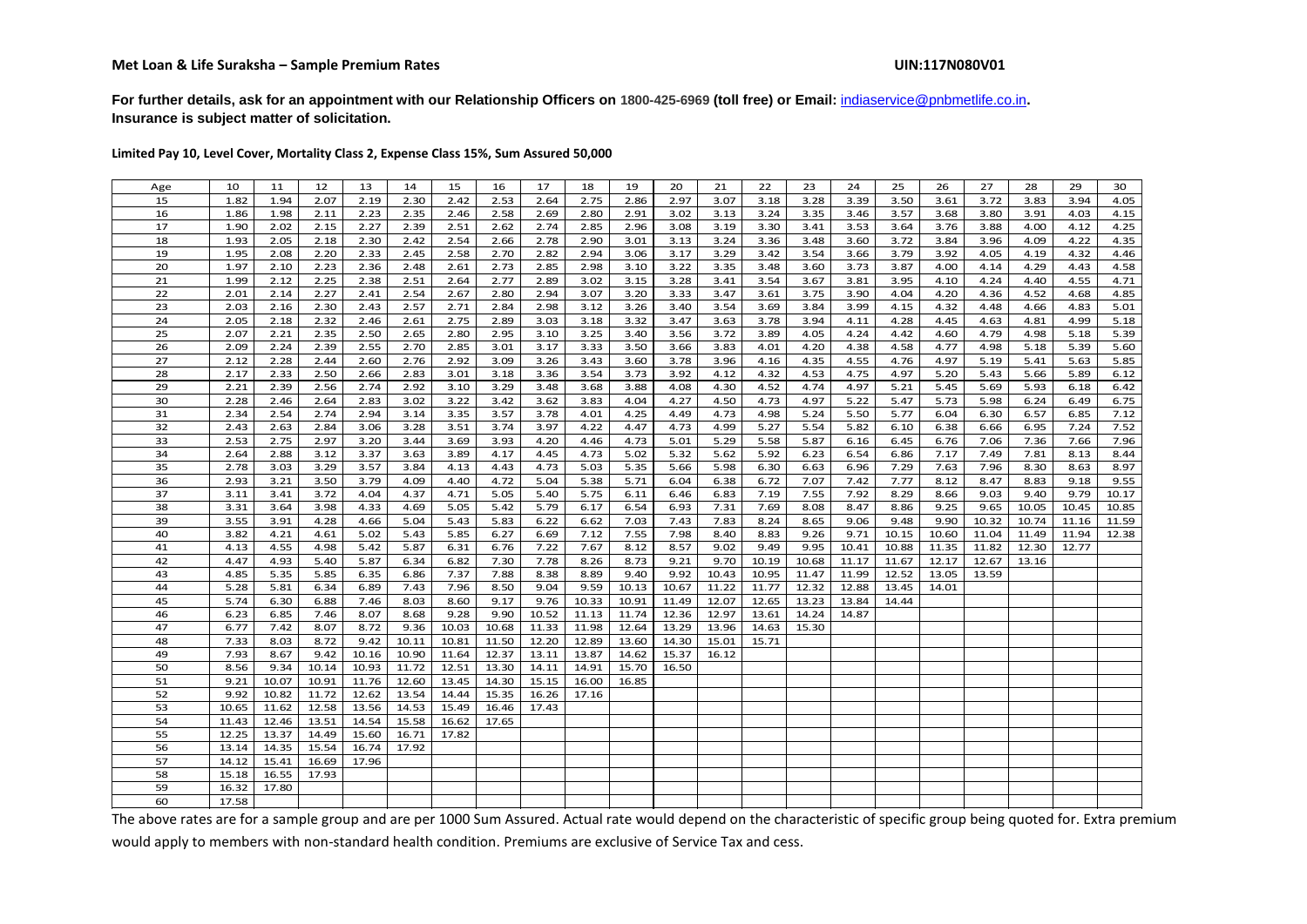**For further details, ask for an appointment with our Relationship Officers on 1800-425-6969 (toll free) or Email:** indiaservice@pnbmetlife.co.in**. Insurance is subject matter of solicitation.**

**Limited Pay 10, Level Cover, Mortality Class 2, Expense Class 15%, Sum Assured 50,000**

| Age      | 10           | 11           | 12           | 13           | 14           | 15           | 16           | 17           | 18           | 19            | 20            | 21             | 22             | 23             | 24             | 25             | 26             | 27    | 28    | 29    | 30    |
|----------|--------------|--------------|--------------|--------------|--------------|--------------|--------------|--------------|--------------|---------------|---------------|----------------|----------------|----------------|----------------|----------------|----------------|-------|-------|-------|-------|
| 15       | 1.82         | 1.94         | 2.07         | 2.19         | 2.30         | 2.42         | 2.53         | 2.64         | 2.75         | 2.86          | 2.97          | 3.07           | 3.18           | 3.28           | 3.39           | 3.50           | 3.61           | 3.72  | 3.83  | 3.94  | 4.05  |
| 16       | 1.86         | 1.98         | 2.11         | 2.23         | 2.35         | 2.46         | 2.58         | 2.69         | 2.80         | 2.91          | 3.02          | 3.13           | 3.24           | 3.35           | 3.46           | 3.57           | 3.68           | 3.80  | 3.91  | 4.03  | 4.15  |
| 17       | 1.90         | 2.02         | 2.15         | 2.27         | 2.39         | 2.51         | 2.62         | 2.74         | 2.85         | 2.96          | 3.08          | 3.19           | 3.30           | 3.41           | 3.53           | 3.64           | 3.76           | 3.88  | 4.00  | 4.12  | 4.25  |
| 18       | 1.93         | 2.05         | 2.18         | 2.30         | 2.42         | 2.54         | 2.66         | 2.78         | 2.90         | 3.01          | 3.13          | 3.24           | 3.36           | 3.48           | 3.60           | 3.72           | 3.84           | 3.96  | 4.09  | 4.22  | 4.35  |
| 19       | 1.95         | 2.08         | 2.20         | 2.33         | 2.45         | 2.58         | 2.70         | 2.82         | 2.94         | 3.06          | 3.17          | 3.29           | 3.42           | 3.54           | 3.66           | 3.79           | 3.92           | 4.05  | 4.19  | 4.32  | 4.46  |
| 20       | 1.97         | 2.10         | 2.23         | 2.36         | 2.48         | 2.61         | 2.73         | 2.85         | 2.98         | 3.10          | 3.22          | 3.35           | 3.48           | 3.60           | 3.73           | 3.87           | 4.00           | 4.14  | 4.29  | 4.43  | 4.58  |
| 21       | 1.99         | 2.12         | 2.25         | 2.38         | 2.51         | 2.64         | 2.77         | 2.89         | 3.02         | 3.15          | 3.28          | 3.41           | 3.54           | 3.67           | 3.81           | 3.95           | 4.10           | 4.24  | 4.40  | 4.55  | 4.71  |
| 22       | 2.01         | 2.14         | 2.27         | 2.41         | 2.54         | 2.67         | 2.80         | 2.94         | 3.07         | 3.20          | 3.33          | 3.47           | 3.61           | 3.75           | 3.90           | 4.04           | 4.20           | 4.36  | 4.52  | 4.68  | 4.85  |
| 23       | 2.03         | 2.16         | 2.30         | 2.43         | 2.57         | 2.71         | 2.84         | 2.98         | 3.12         | 3.26          | 3.40          | 3.54           | 3.69           | 3.84           | 3.99           | 4.15           | 4.32           | 4.48  | 4.66  | 4.83  | 5.01  |
| 24       | 2.05         | 2.18         | 2.32         | 2.46         | 2.61         | 2.75         | 2.89         | 3.03         | 3.18         | 3.32          | 3.47          | 3.63           | 3.78           | 3.94           | 4.11           | 4.28           | 4.45           | 4.63  | 4.81  | 4.99  | 5.18  |
| 25       | 2.07         | 2.21         | 2.35         | 2.50         | 2.65         | 2.80         | 2.95         | 3.10         | 3.25         | 3.40          | 3.56          | 3.72           | 3.89           | 4.05           | 4.24           | 4.42           | 4.60           | 4.79  | 4.98  | 5.18  | 5.39  |
| 26       | 2.09         | 2.24         | 2.39         | 2.55         | 2.70         | 2.85         | 3.01         | 3.17         | 3.33         | 3.50          | 3.66          | 3.83           | 4.01           | 4.20           | 4.38           | 4.58           | 4.77           | 4.98  | 5.18  | 5.39  | 5.60  |
| 27       | 2.12         | 2.28         | 2.44         | 2.60         | 2.76         | 2.92         | 3.09         | 3.26         | 3.43         | 3.60          | 3.78          | 3.96           | 4.16           | 4.35           | 4.55           | 4.76           | 4.97           | 5.19  | 5.41  | 5.63  | 5.85  |
| 28       | 2.17         | 2.33         | 2.50         | 2.66         | 2.83         | 3.01         | 3.18         | 3.36         | 3.54         | 3.73          | 3.92          | 4.12           | 4.32           | 4.53           | 4.75           | 4.97           | 5.20           | 5.43  | 5.66  | 5.89  | 6.12  |
| 29       | 2.21         | 2.39         | 2.56         | 2.74         | 2.92         | 3.10         | 3.29         | 3.48         | 3.68         | 3.88          | 4.08          | 4.30           | 4.52           | 4.74           | 4.97           | 5.21           | 5.45           | 5.69  | 5.93  | 6.18  | 6.42  |
| 30       | 2.28         | 2.46         | 2.64         | 2.83         | 3.02         | 3.22         | 3.42         | 3.62         | 3.83         | 4.04          | 4.27          | 4.50           | 4.73           | 4.97           | 5.22           | 5.47           | 5.73           | 5.98  | 6.24  | 6.49  | 6.75  |
| 31       | 2.34         | 2.54         | 2.74         | 2.94         | 3.14         | 3.35         | 3.57         | 3.78         | 4.01         | 4.25          | 4.49          | 4.73           | 4.98           | 5.24           | 5.50           | 5.77           | 6.04           | 6.30  | 6.57  | 6.85  | 7.12  |
| 32       | 2.43         | 2.63         | 2.84         | 3.06         | 3.28         | 3.51         | 3.74         | 3.97         | 4.22         | 4.47          | 4.73          | 4.99           | 5.27           | 5.54           | 5.82           | 6.10           | 6.38           | 6.66  | 6.95  | 7.24  | 7.52  |
| 33       | 2.53         | 2.75         | 2.97         | 3.20         | 3.44         | 3.69         | 3.93         | 4.20         | 4.46         | 4.73          | 5.01          | 5.29           | 5.58           | 5.87           | 6.16           | 6.45           | 6.76           | 7.06  | 7.36  | 7.66  | 7.96  |
| 34       | 2.64         | 2.88         | 3.12         | 3.37         | 3.63         | 3.89         | 4.17         | 4.45         | 4.73         | 5.02          | 5.32          | 5.62           | 5.92           | 6.23           | 6.54           | 6.86           | 7.17           | 7.49  | 7.81  | 8.13  | 8.44  |
| 35       | 2.78         | 3.03         | 3.29         | 3.57         | 3.84         | 4.13         | 4.43         | 4.73         | 5.03         | 5.35          | 5.66          | 5.98           | 6.30           | 6.63           | 6.96           | 7.29           | 7.63           | 7.96  | 8.30  | 8.63  | 8.97  |
| 36       | 2.93         | 3.21         | 3.50         | 3.79         | 4.09         | 4.40         | 4.72         | 5.04         | 5.38         | 5.71          | 6.04          | 6.38           | 6.72           | 7.07           | 7.42           | 7.77           | 8.12           | 8.47  | 8.83  | 9.18  | 9.55  |
| 37       | 3.11         | 3.41         | 3.72         | 4.04         | 4.37         | 4.71         | 5.05         | 5.40         | 5.75         | 6.11          | 6.46          | 6.83           | 7.19           | 7.55           | 7.92           | 8.29           | 8.66           | 9.03  | 9.40  | 9.79  | 10.17 |
| 38       | 3.31         | 3.64         | 3.98         | 4.33         | 4.69         | 5.05         | 5.42         | 5.79         | 6.17         | 6.54          | 6.93          | 7.31           | 7.69           | 8.08           | 8.47           | 8.86           | 9.25           | 9.65  | 10.05 | 10.45 | 10.85 |
| 39       | 3.55         | 3.91         | 4.28         | 4.66         | 5.04         | 5.43         | 5.83         | 6.22         | 6.62         | 7.03          | 7.43          | 7.83           | 8.24           | 8.65           | 9.06           | 9.48           | 9.90           | 10.32 | 10.74 | 11.16 | 11.59 |
| 40       | 3.82         | 4.21         | 4.61         | 5.02         | 5.43         | 5.85         | 6.27         | 6.69         | 7.12         | 7.55          | 7.98          | 8.40           | 8.83           | 9.26           | 9.71           | 10.15          | 10.60          | 11.04 | 11.49 | 11.94 | 12.38 |
| 41       | 4.13         | 4.55         | 4.98         | 5.42         | 5.87         | 6.31         | 6.76         | 7.22         | 7.67         | 8.12          | 8.57          | 9.02           | 9.49           | 9.95           | 10.41          | 10.88          | 11.35          | 11.82 | 12.30 | 12.77 |       |
| 42       | 4.47         | 4.93         | 5.40         | 5.87         | 6.34         | 6.82         | 7.30         | 7.78         | 8.26         | 8.73          | 9.21          | 9.70           | 10.19          | 10.68          | 11.17          | 11.67          | 12.17          | 12.67 | 13.16 |       |       |
| 43<br>44 | 4.85<br>5.28 | 5.35<br>5.81 | 5.85<br>6.34 | 6.35<br>6.89 | 6.86<br>7.43 | 7.37<br>7.96 | 7.88<br>8.50 | 8.38<br>9.04 | 8.89<br>9.59 | 9.40<br>10.13 | 9.92<br>10.67 | 10.43<br>11.22 | 10.95<br>11.77 | 11.47<br>12.32 | 11.99<br>12.88 | 12.52<br>13.45 | 13.05<br>14.01 | 13.59 |       |       |       |
| 45       | 5.74         | 6.30         | 6.88         | 7.46         | 8.03         | 8.60         | 9.17         | 9.76         | 10.33        | 10.91         | 11.49         | 12.07          | 12.65          | 13.23          | 13.84          | 14.44          |                |       |       |       |       |
| 46       | 6.23         | 6.85         | 7.46         | 8.07         | 8.68         | 9.28         | 9.90         | 10.52        | 11.13        | 11.74         | 12.36         | 12.97          | 13.61          | 14.24          | 14.87          |                |                |       |       |       |       |
| 47       | 6.77         | 7.42         | 8.07         | 8.72         | 9.36         | 10.03        | 10.68        | 11.33        | 11.98        | 12.64         | 13.29         | 13.96          | 14.63          | 15.30          |                |                |                |       |       |       |       |
| 48       | 7.33         | 8.03         | 8.72         | 9.42         | 10.11        | 10.81        | 11.50        | 12.20        | 12.89        | 13.60         | 14.30         | 15.01          | 15.71          |                |                |                |                |       |       |       |       |
| 49       | 7.93         | 8.67         | 9.42         | 10.16        | 10.90        | 11.64        | 12.37        | 13.11        | 13.87        | 14.62         | 15.37         | 16.12          |                |                |                |                |                |       |       |       |       |
| 50       | 8.56         | 9.34         | 10.14        | 10.93        | 11.72        | 12.51        | 13.30        | 14.11        | 14.91        | 15.70         | 16.50         |                |                |                |                |                |                |       |       |       |       |
| 51       | 9.21         | 10.07        | 10.91        | 11.76        | 12.60        | 13.45        | 14.30        | 15.15        | 16.00        | 16.85         |               |                |                |                |                |                |                |       |       |       |       |
| 52       | 9.92         | 10.82        | 11.72        | 12.62        | 13.54        | 14.44        | 15.35        | 16.26        | 17.16        |               |               |                |                |                |                |                |                |       |       |       |       |
| 53       | 10.65        | 11.62        | 12.58        | 13.56        | 14.53        | 15.49        | 16.46        | 17.43        |              |               |               |                |                |                |                |                |                |       |       |       |       |
| 54       | 11.43        | 12.46        | 13.51        | 14.54        | 15.58        | 16.62        | 17.65        |              |              |               |               |                |                |                |                |                |                |       |       |       |       |
| 55       | 12.25        | 13.37        | 14.49        | 15.60        | 16.71        | 17.82        |              |              |              |               |               |                |                |                |                |                |                |       |       |       |       |
| 56       | 13.14        | 14.35        | 15.54        | 16.74        | 17.92        |              |              |              |              |               |               |                |                |                |                |                |                |       |       |       |       |
| 57       | 14.12        | 15.41        | 16.69        | 17.96        |              |              |              |              |              |               |               |                |                |                |                |                |                |       |       |       |       |
| 58       | 15.18        | 16.55        | 17.93        |              |              |              |              |              |              |               |               |                |                |                |                |                |                |       |       |       |       |
| 59       | 16.32        | 17.80        |              |              |              |              |              |              |              |               |               |                |                |                |                |                |                |       |       |       |       |
| 60       | 17.58        |              |              |              |              |              |              |              |              |               |               |                |                |                |                |                |                |       |       |       |       |